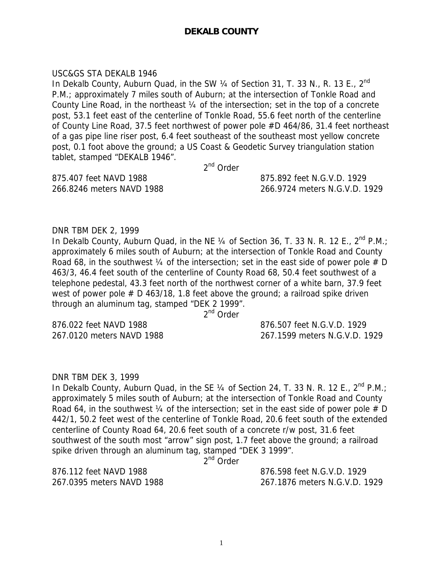# **DEKALB COUNTY**

### USC&GS STA DEKALB 1946

In Dekalb County, Auburn Quad, in the SW  $\frac{1}{4}$  of Section 31, T. 33 N., R. 13 E., 2<sup>nd</sup> P.M.; approximately 7 miles south of Auburn; at the intersection of Tonkle Road and County Line Road, in the northeast ¼ of the intersection; set in the top of a concrete post, 53.1 feet east of the centerline of Tonkle Road, 55.6 feet north of the centerline of County Line Road, 37.5 feet northwest of power pole #D 464/86, 31.4 feet northeast of a gas pipe line riser post, 6.4 feet southeast of the southeast most yellow concrete post, 0.1 foot above the ground; a US Coast & Geodetic Survey triangulation station tablet, stamped "DEKALB 1946".

2<sup>nd</sup> Order

875.407 feet NAVD 1988 875.892 feet N.G.V.D. 1929

266.8246 meters NAVD 1988 266.9724 meters N.G.V.D. 1929

DNR TBM DEK 2, 1999

In Dekalb County, Auburn Quad, in the NE  $\frac{1}{4}$  of Section 36, T. 33 N. R. 12 E.,  $2^{nd}$  P.M.; approximately 6 miles south of Auburn; at the intersection of Tonkle Road and County Road 68, in the southwest  $\frac{1}{4}$  of the intersection; set in the east side of power pole # D 463/3, 46.4 feet south of the centerline of County Road 68, 50.4 feet southwest of a telephone pedestal, 43.3 feet north of the northwest corner of a white barn, 37.9 feet west of power pole  $# D 463/18$ , 1.8 feet above the ground; a railroad spike driven through an aluminum tag, stamped "DEK 2 1999".

2<sup>nd</sup> Order

876.022 feet NAVD 1988 876.507 feet N.G.V.D. 1929

267.0120 meters NAVD 1988 267.1599 meters N.G.V.D. 1929

# DNR TBM DEK 3, 1999

In Dekalb County, Auburn Quad, in the SE  $\frac{1}{4}$  of Section 24, T. 33 N. R. 12 E.,  $2^{nd}$  P.M.; approximately 5 miles south of Auburn; at the intersection of Tonkle Road and County Road 64, in the southwest  $\frac{1}{4}$  of the intersection; set in the east side of power pole # D 442/1, 50.2 feet west of the centerline of Tonkle Road, 20.6 feet south of the extended centerline of County Road 64, 20.6 feet south of a concrete r/w post, 31.6 feet southwest of the south most "arrow" sign post, 1.7 feet above the ground; a railroad spike driven through an aluminum tag, stamped "DEK 3 1999".

2<sup>nd</sup> Order

876.112 feet NAVD 1988 876.598 feet N.G.V.D. 1929

267.0395 meters NAVD 1988 267.1876 meters N.G.V.D. 1929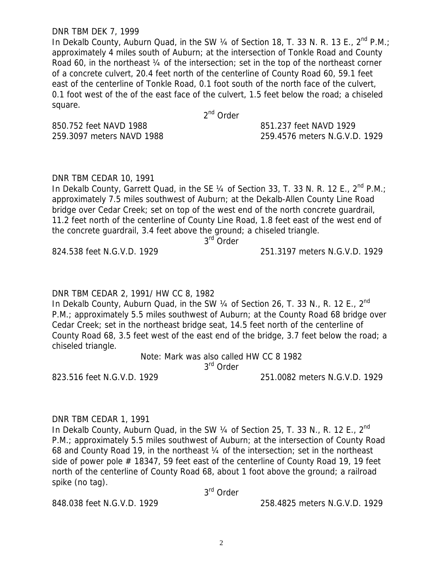#### DNR TBM DEK 7, 1999

In Dekalb County, Auburn Quad, in the SW  $\frac{1}{4}$  of Section 18, T. 33 N. R. 13 E.,  $2^{nd}$  P.M.; approximately 4 miles south of Auburn; at the intersection of Tonkle Road and County Road 60, in the northeast 1/4 of the intersection; set in the top of the northeast corner of a concrete culvert, 20.4 feet north of the centerline of County Road 60, 59.1 feet east of the centerline of Tonkle Road, 0.1 foot south of the north face of the culvert, 0.1 foot west of the of the east face of the culvert, 1.5 feet below the road; a chiseled square.

2nd Order

850.752 feet NAVD 1988 851.237 feet NAVD 1929

259.3097 meters NAVD 1988 259.4576 meters N.G.V.D. 1929

#### DNR TBM CEDAR 10, 1991

In Dekalb County, Garrett Quad, in the SE  $\frac{1}{4}$  of Section 33, T. 33 N. R. 12 E.,  $2^{nd}$  P.M.; approximately 7.5 miles southwest of Auburn; at the Dekalb-Allen County Line Road bridge over Cedar Creek; set on top of the west end of the north concrete guardrail, 11.2 feet north of the centerline of County Line Road, 1.8 feet east of the west end of the concrete guardrail, 3.4 feet above the ground; a chiseled triangle.

3<sup>rd</sup> Order

824.538 feet N.G.V.D. 1929 251.3197 meters N.G.V.D. 1929

#### DNR TBM CEDAR 2, 1991/ HW CC 8, 1982

In Dekalb County, Auburn Quad, in the SW  $\frac{1}{4}$  of Section 26, T. 33 N., R. 12 E.,  $2^{nd}$ P.M.; approximately 5.5 miles southwest of Auburn; at the County Road 68 bridge over Cedar Creek; set in the northeast bridge seat, 14.5 feet north of the centerline of County Road 68, 3.5 feet west of the east end of the bridge, 3.7 feet below the road; a chiseled triangle.

Note: Mark was also called HW CC 8 1982

3<sup>rd</sup> Order

#### 823.516 feet N.G.V.D. 1929 251.0082 meters N.G.V.D. 1929

#### DNR TBM CEDAR 1, 1991

In Dekalb County, Auburn Quad, in the SW  $\frac{1}{4}$  of Section 25, T. 33 N., R. 12 E., 2<sup>nd</sup> P.M.; approximately 5.5 miles southwest of Auburn; at the intersection of County Road 68 and County Road 19, in the northeast ¼ of the intersection; set in the northeast side of power pole  $#$  18347, 59 feet east of the centerline of County Road 19, 19 feet north of the centerline of County Road 68, about 1 foot above the ground; a railroad spike (no tag).

3rd Order

848.038 feet N.G.V.D. 1929 258.4825 meters N.G.V.D. 1929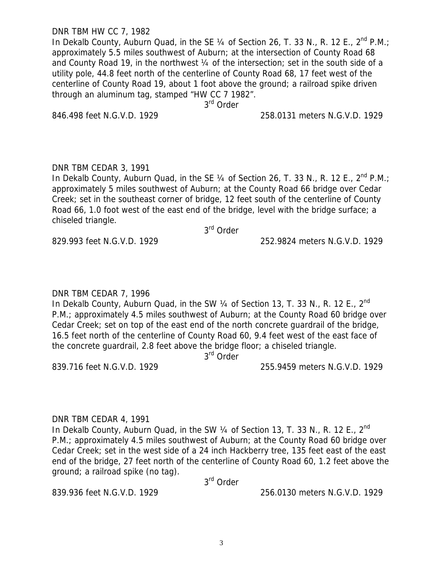#### DNR TBM HW CC 7, 1982

In Dekalb County, Auburn Quad, in the SE  $\frac{1}{4}$  of Section 26, T. 33 N., R. 12 E., 2<sup>nd</sup> P.M.; approximately 5.5 miles southwest of Auburn; at the intersection of County Road 68 and County Road 19, in the northwest 1/4 of the intersection; set in the south side of a utility pole, 44.8 feet north of the centerline of County Road 68, 17 feet west of the centerline of County Road 19, about 1 foot above the ground; a railroad spike driven through an aluminum tag, stamped "HW CC 7 1982".

3<sup>rd</sup> Order

846.498 feet N.G.V.D. 1929 258.0131 meters N.G.V.D. 1929

#### DNR TBM CEDAR 3, 1991

In Dekalb County, Auburn Quad, in the SE 1/4 of Section 26, T. 33 N., R. 12 E., 2<sup>nd</sup> P.M.; approximately 5 miles southwest of Auburn; at the County Road 66 bridge over Cedar Creek; set in the southeast corner of bridge, 12 feet south of the centerline of County Road 66, 1.0 foot west of the east end of the bridge, level with the bridge surface; a chiseled triangle.

3rd Order

829.993 feet N.G.V.D. 1929 252.9824 meters N.G.V.D. 1929

# DNR TBM CEDAR 7, 1996

In Dekalb County, Auburn Quad, in the SW  $\frac{1}{4}$  of Section 13, T. 33 N., R. 12 E., 2<sup>nd</sup> P.M.; approximately 4.5 miles southwest of Auburn; at the County Road 60 bridge over Cedar Creek; set on top of the east end of the north concrete guardrail of the bridge, 16.5 feet north of the centerline of County Road 60, 9.4 feet west of the east face of the concrete guardrail, 2.8 feet above the bridge floor; a chiseled triangle.

3<sup>rd</sup> Order

839.716 feet N.G.V.D. 1929 255.9459 meters N.G.V.D. 1929

# DNR TBM CEDAR 4, 1991

In Dekalb County, Auburn Quad, in the SW  $\frac{1}{4}$  of Section 13, T. 33 N., R. 12 E., 2<sup>nd</sup> P.M.; approximately 4.5 miles southwest of Auburn; at the County Road 60 bridge over Cedar Creek; set in the west side of a 24 inch Hackberry tree, 135 feet east of the east end of the bridge, 27 feet north of the centerline of County Road 60, 1.2 feet above the ground; a railroad spike (no tag).

3rd Order

839.936 feet N.G.V.D. 1929 256.0130 meters N.G.V.D. 1929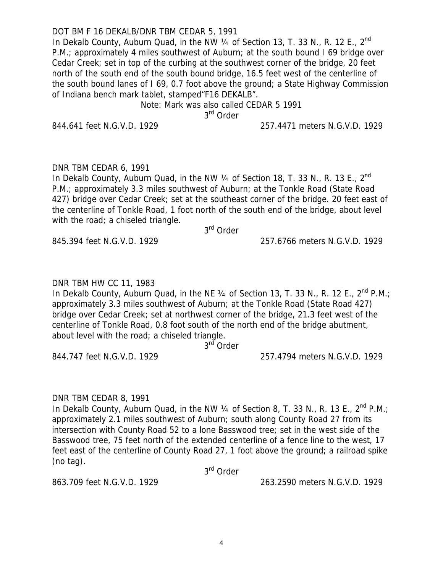# DOT BM F 16 DEKALB/DNR TBM CEDAR 5, 1991

In Dekalb County, Auburn Quad, in the NW  $\frac{1}{4}$  of Section 13, T. 33 N., R. 12 E.,  $2^{nd}$ P.M.; approximately 4 miles southwest of Auburn; at the south bound I 69 bridge over Cedar Creek; set in top of the curbing at the southwest corner of the bridge, 20 feet north of the south end of the south bound bridge, 16.5 feet west of the centerline of the south bound lanes of I 69, 0.7 foot above the ground; a State Highway Commission of Indiana bench mark tablet, stamped"F16 DEKALB".

Note: Mark was also called CEDAR 5 1991

3rd Order

844.641 feet N.G.V.D. 1929 257.4471 meters N.G.V.D. 1929

# DNR TBM CEDAR 6, 1991

In Dekalb County, Auburn Quad, in the NW  $\frac{1}{4}$  of Section 18, T. 33 N., R. 13 E.,  $2^{nd}$ P.M.; approximately 3.3 miles southwest of Auburn; at the Tonkle Road (State Road 427) bridge over Cedar Creek; set at the southeast corner of the bridge. 20 feet east of the centerline of Tonkle Road, 1 foot north of the south end of the bridge, about level with the road; a chiseled triangle.

3rd Order

845.394 feet N.G.V.D. 1929 257.6766 meters N.G.V.D. 1929

# DNR TBM HW CC 11, 1983

In Dekalb County, Auburn Quad, in the NE 1/4 of Section 13, T. 33 N., R. 12 E., 2<sup>nd</sup> P.M.; approximately 3.3 miles southwest of Auburn; at the Tonkle Road (State Road 427) bridge over Cedar Creek; set at northwest corner of the bridge, 21.3 feet west of the centerline of Tonkle Road, 0.8 foot south of the north end of the bridge abutment, about level with the road; a chiseled triangle.

3<sup>rd</sup> Order

844.747 feet N.G.V.D. 1929 257.4794 meters N.G.V.D. 1929

# DNR TBM CEDAR 8, 1991

In Dekalb County, Auburn Quad, in the NW  $\frac{1}{4}$  of Section 8, T. 33 N., R. 13 E.,  $2^{nd}$  P.M.; approximately 2.1 miles southwest of Auburn; south along County Road 27 from its intersection with County Road 52 to a lone Basswood tree; set in the west side of the Basswood tree, 75 feet north of the extended centerline of a fence line to the west, 17 feet east of the centerline of County Road 27, 1 foot above the ground; a railroad spike (no tag).

3<sup>rd</sup> Order

863.709 feet N.G.V.D. 1929 263.2590 meters N.G.V.D. 1929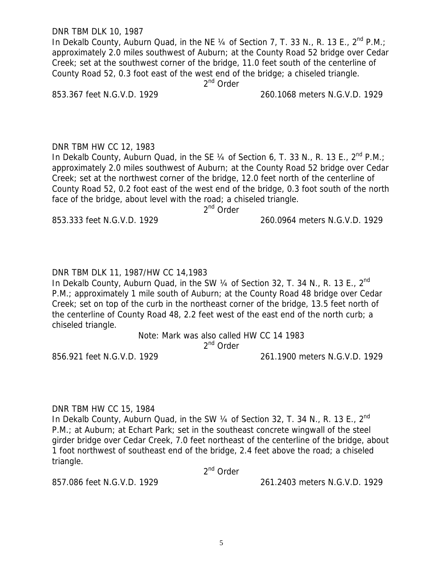DNR TBM DLK 10, 1987

In Dekalb County, Auburn Quad, in the NE  $\frac{1}{4}$  of Section 7, T. 33 N., R. 13 E.,  $2^{nd}$  P.M.; approximately 2.0 miles southwest of Auburn; at the County Road 52 bridge over Cedar Creek; set at the southwest corner of the bridge, 11.0 feet south of the centerline of County Road 52, 0.3 foot east of the west end of the bridge; a chiseled triangle.

2<sup>nd</sup> Order

853.367 feet N.G.V.D. 1929 260.1068 meters N.G.V.D. 1929

DNR TBM HW CC 12, 1983 In Dekalb County, Auburn Quad, in the SE  $\frac{1}{4}$  of Section 6, T. 33 N., R. 13 E.,  $2^{nd}$  P.M.; approximately 2.0 miles southwest of Auburn; at the County Road 52 bridge over Cedar Creek; set at the northwest corner of the bridge, 12.0 feet north of the centerline of County Road 52, 0.2 foot east of the west end of the bridge, 0.3 foot south of the north face of the bridge, about level with the road; a chiseled triangle.

2<sup>nd</sup> Order

853.333 feet N.G.V.D. 1929 260.0964 meters N.G.V.D. 1929

DNR TBM DLK 11, 1987/HW CC 14,1983

In Dekalb County, Auburn Quad, in the SW  $\frac{1}{4}$  of Section 32, T. 34 N., R. 13 E.,  $2^{nd}$ P.M.; approximately 1 mile south of Auburn; at the County Road 48 bridge over Cedar Creek; set on top of the curb in the northeast corner of the bridge, 13.5 feet north of the centerline of County Road 48, 2.2 feet west of the east end of the north curb; a chiseled triangle.

> Note: Mark was also called HW CC 14 1983 2<sup>nd</sup> Order

856.921 feet N.G.V.D. 1929 261.1900 meters N.G.V.D. 1929

DNR TBM HW CC 15, 1984

In Dekalb County, Auburn Quad, in the SW  $\frac{1}{4}$  of Section 32, T. 34 N., R. 13 E.,  $2^{nd}$ P.M.; at Auburn; at Echart Park; set in the southeast concrete wingwall of the steel girder bridge over Cedar Creek, 7.0 feet northeast of the centerline of the bridge, about 1 foot northwest of southeast end of the bridge, 2.4 feet above the road; a chiseled triangle.

2<sup>nd</sup> Order

857.086 feet N.G.V.D. 1929 261.2403 meters N.G.V.D. 1929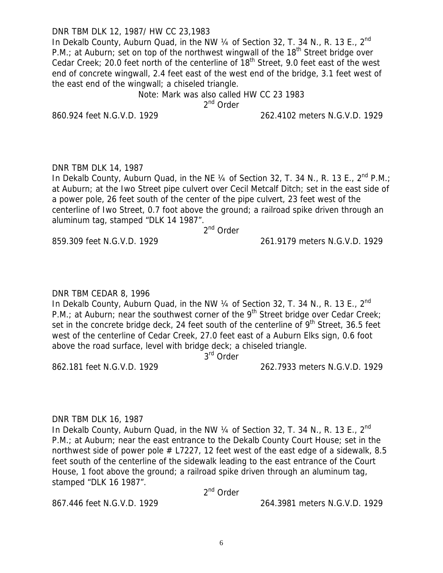DNR TBM DLK 12, 1987/ HW CC 23,1983

In Dekalb County, Auburn Quad, in the NW  $\frac{1}{4}$  of Section 32, T. 34 N., R. 13 E.,  $2^{nd}$ P.M.; at Auburn; set on top of the northwest wingwall of the  $18<sup>th</sup>$  Street bridge over Cedar Creek; 20.0 feet north of the centerline of  $18<sup>th</sup>$  Street, 9.0 feet east of the west end of concrete wingwall, 2.4 feet east of the west end of the bridge, 3.1 feet west of the east end of the wingwall; a chiseled triangle.

Note: Mark was also called HW CC 23 1983

2<sup>nd</sup> Order

860.924 feet N.G.V.D. 1929 262.4102 meters N.G.V.D. 1929

# DNR TBM DLK 14, 1987

In Dekalb County, Auburn Quad, in the NE 1/4 of Section 32, T. 34 N., R. 13 E., 2<sup>nd</sup> P.M.; at Auburn; at the Iwo Street pipe culvert over Cecil Metcalf Ditch; set in the east side of a power pole, 26 feet south of the center of the pipe culvert, 23 feet west of the centerline of Iwo Street, 0.7 foot above the ground; a railroad spike driven through an aluminum tag, stamped "DLK 14 1987".

.<br>2<sup>nd</sup> Order

859.309 feet N.G.V.D. 1929 261.9179 meters N.G.V.D. 1929

# DNR TBM CEDAR 8, 1996

In Dekalb County, Auburn Quad, in the NW  $\frac{1}{4}$  of Section 32, T. 34 N., R. 13 E.,  $2^{nd}$ P.M.; at Auburn; near the southwest corner of the 9<sup>th</sup> Street bridge over Cedar Creek; set in the concrete bridge deck, 24 feet south of the centerline of  $9<sup>th</sup>$  Street, 36.5 feet west of the centerline of Cedar Creek, 27.0 feet east of a Auburn Elks sign, 0.6 foot above the road surface, level with bridge deck; a chiseled triangle.

3<sup>rd</sup> Order

862.181 feet N.G.V.D. 1929 262.7933 meters N.G.V.D. 1929

# DNR TBM DLK 16, 1987

In Dekalb County, Auburn Quad, in the NW  $\frac{1}{4}$  of Section 32, T. 34 N., R. 13 E.,  $2^{nd}$ P.M.; at Auburn; near the east entrance to the Dekalb County Court House; set in the northwest side of power pole  $#$  L7227, 12 feet west of the east edge of a sidewalk, 8.5 feet south of the centerline of the sidewalk leading to the east entrance of the Court House, 1 foot above the ground; a railroad spike driven through an aluminum tag, stamped "DLK 16 1987".

2<sup>nd</sup> Order

867.446 feet N.G.V.D. 1929 264.3981 meters N.G.V.D. 1929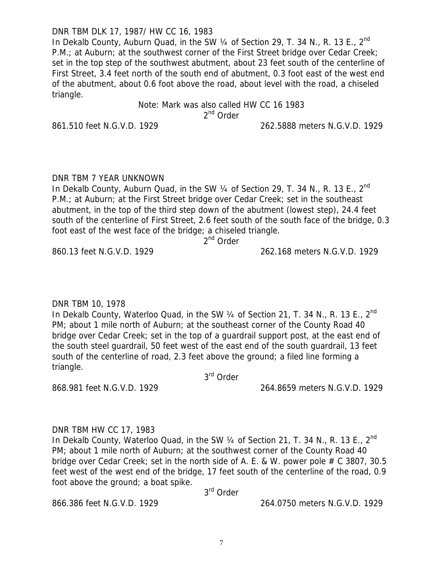DNR TBM DLK 17, 1987/ HW CC 16, 1983

In Dekalb County, Auburn Quad, in the SW  $\frac{1}{4}$  of Section 29, T. 34 N., R. 13 E.,  $2^{nd}$ P.M.; at Auburn; at the southwest corner of the First Street bridge over Cedar Creek; set in the top step of the southwest abutment, about 23 feet south of the centerline of First Street, 3.4 feet north of the south end of abutment, 0.3 foot east of the west end of the abutment, about 0.6 foot above the road, about level with the road, a chiseled triangle.

#### Note: Mark was also called HW CC 16 1983 2<sup>nd</sup> Order

861.510 feet N.G.V.D. 1929 262.5888 meters N.G.V.D. 1929

### DNR TBM 7 YEAR UNKNOWN

In Dekalb County, Auburn Quad, in the SW 1/4 of Section 29, T. 34 N., R. 13 E., 2<sup>nd</sup> P.M.; at Auburn; at the First Street bridge over Cedar Creek; set in the southeast abutment, in the top of the third step down of the abutment (lowest step), 24.4 feet south of the centerline of First Street, 2.6 feet south of the south face of the bridge, 0.3 foot east of the west face of the bridge; a chiseled triangle.

2<sup>nd</sup> Order

### 860.13 feet N.G.V.D. 1929 262.168 meters N.G.V.D. 1929

DNR TBM 10, 1978

In Dekalb County, Waterloo Quad, in the SW 1/4 of Section 21, T. 34 N., R. 13 E., 2<sup>nd</sup> PM; about 1 mile north of Auburn; at the southeast corner of the County Road 40 bridge over Cedar Creek; set in the top of a guardrail support post, at the east end of the south steel guardrail, 50 feet west of the east end of the south guardrail, 13 feet south of the centerline of road, 2.3 feet above the ground; a filed line forming a triangle.

3rd Order

868.981 feet N.G.V.D. 1929 264.8659 meters N.G.V.D. 1929

# DNR TBM HW CC 17, 1983

In Dekalb County, Waterloo Quad, in the SW  $\frac{1}{4}$  of Section 21, T. 34 N., R. 13 E., 2<sup>nd</sup> PM; about 1 mile north of Auburn; at the southwest corner of the County Road 40 bridge over Cedar Creek; set in the north side of A. E. & W. power pole  $# C$  3807, 30.5 feet west of the west end of the bridge, 17 feet south of the centerline of the road, 0.9 foot above the ground; a boat spike.

3rd Order

866.386 feet N.G.V.D. 1929 264.0750 meters N.G.V.D. 1929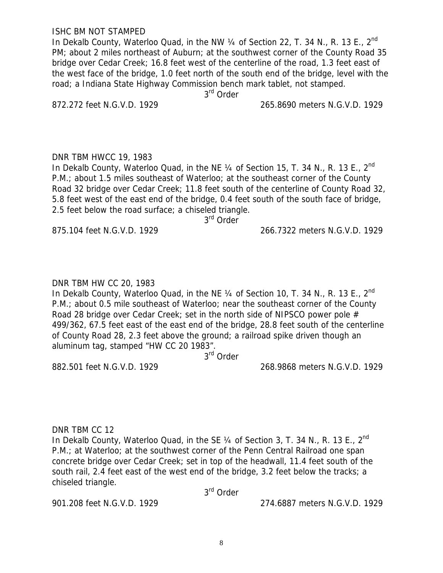ISHC BM NOT STAMPED

In Dekalb County, Waterloo Quad, in the NW  $\frac{1}{4}$  of Section 22, T. 34 N., R. 13 E., 2<sup>nd</sup> PM; about 2 miles northeast of Auburn; at the southwest corner of the County Road 35 bridge over Cedar Creek; 16.8 feet west of the centerline of the road, 1.3 feet east of the west face of the bridge, 1.0 feet north of the south end of the bridge, level with the road; a Indiana State Highway Commission bench mark tablet, not stamped.

3<sup>rd</sup> Order

872.272 feet N.G.V.D. 1929 265.8690 meters N.G.V.D. 1929

DNR TBM HWCC 19, 1983

In Dekalb County, Waterloo Quad, in the NE  $\frac{1}{4}$  of Section 15, T, 34 N,, R, 13 E,, 2<sup>nd</sup> P.M.; about 1.5 miles southeast of Waterloo; at the southeast corner of the County Road 32 bridge over Cedar Creek; 11.8 feet south of the centerline of County Road 32, 5.8 feet west of the east end of the bridge, 0.4 feet south of the south face of bridge, 2.5 feet below the road surface; a chiseled triangle.

3<sup>rd</sup> Order

875.104 feet N.G.V.D. 1929 266.7322 meters N.G.V.D. 1929

### DNR TBM HW CC 20, 1983

In Dekalb County, Waterloo Quad, in the NE  $\frac{1}{4}$  of Section 10, T. 34 N., R. 13 E., 2<sup>nd</sup> P.M.; about 0.5 mile southeast of Waterloo; near the southeast corner of the County Road 28 bridge over Cedar Creek; set in the north side of NIPSCO power pole # 499/362, 67.5 feet east of the east end of the bridge, 28.8 feet south of the centerline of County Road 28, 2.3 feet above the ground; a railroad spike driven though an aluminum tag, stamped "HW CC 20 1983".

3rd Order

882.501 feet N.G.V.D. 1929 268.9868 meters N.G.V.D. 1929

DNR TBM CC 12

In Dekalb County, Waterloo Quad, in the SE  $\frac{1}{4}$  of Section 3, T. 34 N., R. 13 E., 2<sup>nd</sup> P.M.; at Waterloo; at the southwest corner of the Penn Central Railroad one span concrete bridge over Cedar Creek; set in top of the headwall, 11.4 feet south of the south rail, 2.4 feet east of the west end of the bridge, 3.2 feet below the tracks; a chiseled triangle.

3rd Order

901.208 feet N.G.V.D. 1929 274.6887 meters N.G.V.D. 1929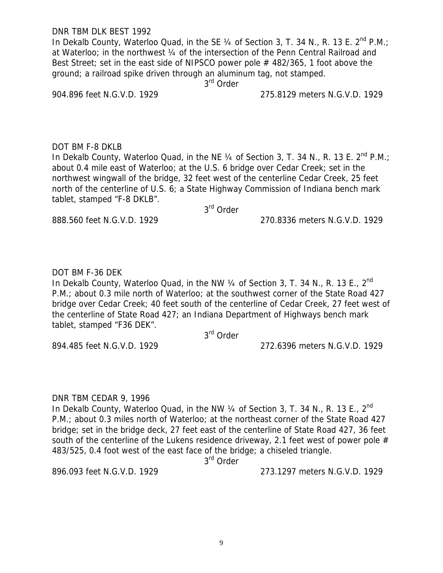DNR TBM DLK BEST 1992

In Dekalb County, Waterloo Quad, in the SE 1/4 of Section 3, T. 34 N., R. 13 E. 2<sup>nd</sup> P.M.; at Waterloo; in the northwest ¼ of the intersection of the Penn Central Railroad and Best Street; set in the east side of NIPSCO power pole # 482/365, 1 foot above the ground; a railroad spike driven through an aluminum tag, not stamped.

3<sup>rd</sup> Order

904.896 feet N.G.V.D. 1929 275.8129 meters N.G.V.D. 1929

### DOT BM F-8 DKLB

In Dekalb County, Waterloo Quad, in the NE 1/4 of Section 3, T. 34 N., R. 13 E. 2<sup>nd</sup> P.M.; about 0.4 mile east of Waterloo; at the U.S. 6 bridge over Cedar Creek; set in the northwest wingwall of the bridge, 32 feet west of the centerline Cedar Creek, 25 feet north of the centerline of U.S. 6; a State Highway Commission of Indiana bench mark tablet, stamped "F-8 DKLB".

# 3rd Order

888.560 feet N.G.V.D. 1929 270.8336 meters N.G.V.D. 1929

# DOT BM F-36 DEK

In Dekalb County, Waterloo Quad, in the NW  $\frac{1}{4}$  of Section 3, T. 34 N., R. 13 E., 2<sup>nd</sup> P.M.; about 0.3 mile north of Waterloo; at the southwest corner of the State Road 427 bridge over Cedar Creek; 40 feet south of the centerline of Cedar Creek, 27 feet west of the centerline of State Road 427; an Indiana Department of Highways bench mark tablet, stamped "F36 DEK".

3rd Order

894.485 feet N.G.V.D. 1929 272.6396 meters N.G.V.D. 1929

# DNR TBM CEDAR 9, 1996

In Dekalb County, Waterloo Quad, in the NW  $\frac{1}{4}$  of Section 3, T. 34 N., R. 13 E., 2<sup>nd</sup> P.M.; about 0.3 miles north of Waterloo; at the northeast corner of the State Road 427 bridge; set in the bridge deck, 27 feet east of the centerline of State Road 427, 36 feet south of the centerline of the Lukens residence driveway, 2.1 feet west of power pole  $#$ 483/525, 0.4 foot west of the east face of the bridge; a chiseled triangle.

3<sup>rd</sup> Order

896.093 feet N.G.V.D. 1929 273.1297 meters N.G.V.D. 1929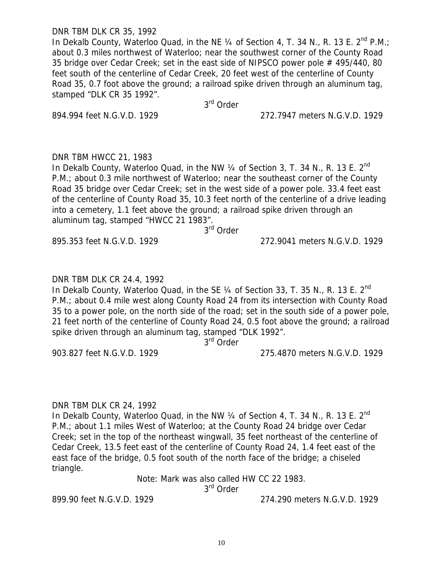DNR TBM DLK CR 35, 1992

In Dekalb County, Waterloo Quad, in the NE  $\frac{1}{4}$  of Section 4, T. 34 N., R. 13 E. 2<sup>nd</sup> P.M.; about 0.3 miles northwest of Waterloo; near the southwest corner of the County Road 35 bridge over Cedar Creek; set in the east side of NIPSCO power pole # 495/440, 80 feet south of the centerline of Cedar Creek, 20 feet west of the centerline of County Road 35, 0.7 foot above the ground; a railroad spike driven through an aluminum tag, stamped "DLK CR 35 1992".

3rd Order

894.994 feet N.G.V.D. 1929 272.7947 meters N.G.V.D. 1929

#### DNR TBM HWCC 21, 1983

In Dekalb County, Waterloo Quad, in the NW  $\frac{1}{4}$  of Section 3, T. 34 N., R. 13 E.  $2^{nd}$ P.M.; about 0.3 mile northwest of Waterloo; near the southeast corner of the County Road 35 bridge over Cedar Creek; set in the west side of a power pole. 33.4 feet east of the centerline of County Road 35, 10.3 feet north of the centerline of a drive leading into a cemetery, 1.1 feet above the ground; a railroad spike driven through an aluminum tag, stamped "HWCC 21 1983".

3rd Order

895.353 feet N.G.V.D. 1929 272.9041 meters N.G.V.D. 1929

DNR TBM DLK CR 24.4, 1992

In Dekalb County, Waterloo Quad, in the SE  $\frac{1}{4}$  of Section 33, T. 35 N., R. 13 E.  $2^{nd}$ P.M.; about 0.4 mile west along County Road 24 from its intersection with County Road 35 to a power pole, on the north side of the road; set in the south side of a power pole, 21 feet north of the centerline of County Road 24, 0.5 foot above the ground; a railroad spike driven through an aluminum tag, stamped "DLK 1992".

3<sup>rd</sup> Order

903.827 feet N.G.V.D. 1929 275.4870 meters N.G.V.D. 1929

# DNR TBM DLK CR 24, 1992

In Dekalb County, Waterloo Quad, in the NW  $\frac{1}{4}$  of Section 4, T. 34 N., R. 13 E.  $2^{nd}$ P.M.; about 1.1 miles West of Waterloo; at the County Road 24 bridge over Cedar Creek; set in the top of the northeast wingwall, 35 feet northeast of the centerline of Cedar Creek, 13.5 feet east of the centerline of County Road 24, 1.4 feet east of the east face of the bridge, 0.5 foot south of the north face of the bridge; a chiseled triangle.

> Note: Mark was also called HW CC 22 1983. 3<sup>rd</sup> Order

899.90 feet N.G.V.D. 1929 274.290 meters N.G.V.D. 1929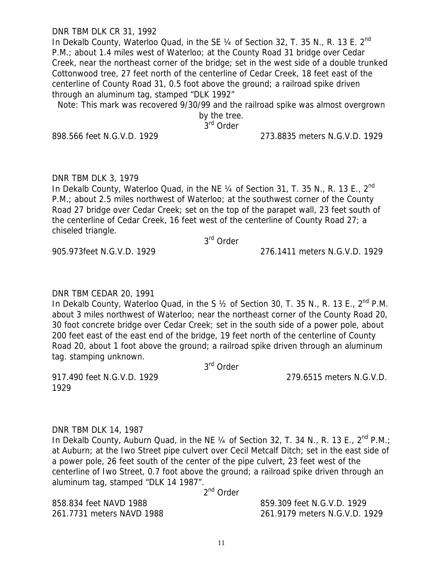#### DNR TBM DLK CR 31, 1992

In Dekalb County, Waterloo Quad, in the SE 1/4 of Section 32, T. 35 N., R. 13 E. 2<sup>nd</sup> P.M.; about 1.4 miles west of Waterloo; at the County Road 31 bridge over Cedar Creek, near the northeast corner of the bridge; set in the west side of a double trunked Cottonwood tree, 27 feet north of the centerline of Cedar Creek, 18 feet east of the centerline of County Road 31, 0.5 foot above the ground; a railroad spike driven through an aluminum tag, stamped "DLK 1992"

Note: This mark was recovered 9/30/99 and the railroad spike was almost overgrown

by the tree.

3<sup>rd</sup> Order

898.566 feet N.G.V.D. 1929 273.8835 meters N.G.V.D. 1929

#### DNR TBM DLK 3, 1979

In Dekalb County, Waterloo Quad, in the NE 1/4 of Section 31, T. 35 N., R. 13 E., 2<sup>nd</sup> P.M.; about 2.5 miles northwest of Waterloo; at the southwest corner of the County Road 27 bridge over Cedar Creek; set on the top of the parapet wall, 23 feet south of the centerline of Cedar Creek, 16 feet west of the centerline of County Road 27; a chiseled triangle.

3rd Order

### 905.973feet N.G.V.D. 1929 276.1411 meters N.G.V.D. 1929

#### DNR TBM CEDAR 20, 1991

In Dekalb County, Waterloo Quad, in the S  $\frac{1}{2}$  of Section 30, T. 35 N., R. 13 E., 2<sup>nd</sup> P.M. about 3 miles northwest of Waterloo; near the northeast corner of the County Road 20, 30 foot concrete bridge over Cedar Creek; set in the south side of a power pole, about 200 feet east of the east end of the bridge, 19 feet north of the centerline of County Road 20, about 1 foot above the ground; a railroad spike driven through an aluminum tag. stamping unknown.

3rd Order

917.490 feet N.G.V.D. 1929 279.6515 meters N.G.V.D. 1929

### DNR TBM DLK 14, 1987

In Dekalb County, Auburn Quad, in the NE  $\frac{1}{4}$  of Section 32, T. 34 N., R. 13 E.,  $2^{nd}$  P.M.; at Auburn; at the Iwo Street pipe culvert over Cecil Metcalf Ditch; set in the east side of a power pole, 26 feet south of the center of the pipe culvert, 23 feet west of the centerline of Iwo Street, 0.7 foot above the ground; a railroad spike driven through an aluminum tag, stamped "DLK 14 1987".

2<sup>nd</sup> Order

858.834 feet NAVD 1988 859.309 feet N.G.V.D. 1929

261.7731 meters NAVD 1988 261.9179 meters N.G.V.D. 1929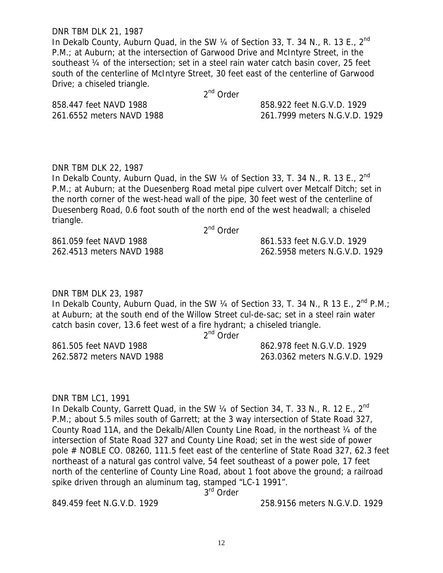DNR TBM DLK 21, 1987

In Dekalb County, Auburn Quad, in the SW  $\frac{1}{4}$  of Section 33, T. 34 N., R. 13 E.,  $2^{nd}$ P.M.; at Auburn; at the intersection of Garwood Drive and McIntyre Street, in the southeast ¼ of the intersection; set in a steel rain water catch basin cover, 25 feet south of the centerline of McIntyre Street, 30 feet east of the centerline of Garwood Drive; a chiseled triangle.

2<sup>nd</sup> Order

858.447 feet NAVD 1988 858.922 feet N.G.V.D. 1929

261.6552 meters NAVD 1988 261.7999 meters N.G.V.D. 1929

DNR TBM DLK 22, 1987 In Dekalb County, Auburn Quad, in the SW 1/4 of Section 33, T. 34 N., R. 13 E., 2<sup>nd</sup> P.M.; at Auburn; at the Duesenberg Road metal pipe culvert over Metcalf Ditch; set in the north corner of the west-head wall of the pipe, 30 feet west of the centerline of Duesenberg Road, 0.6 foot south of the north end of the west headwall; a chiseled triangle. 2<sup>nd</sup> Order

861.059 feet NAVD 1988 861.533 feet N.G.V.D. 1929

262.4513 meters NAVD 1988 262.5958 meters N.G.V.D. 1929

DNR TBM DLK 23, 1987

In Dekalb County, Auburn Quad, in the SW  $\frac{1}{4}$  of Section 33, T. 34 N., R 13 E.,  $2^{nd}$  P.M.; at Auburn; at the south end of the Willow Street cul-de-sac; set in a steel rain water catch basin cover, 13.6 feet west of a fire hydrant; a chiseled triangle.

2<sup>nd</sup> Order

861.505 feet NAVD 1988 862.978 feet N.G.V.D. 1929 262.5872 meters NAVD 1988 263.0362 meters N.G.V.D. 1929

#### DNR TBM LC1, 1991

In Dekalb County, Garrett Quad, in the SW  $\frac{1}{4}$  of Section 34, T. 33 N., R. 12 E.,  $2^{nd}$ P.M.; about 5.5 miles south of Garrett; at the 3 way intersection of State Road 327, County Road 11A, and the Dekalb/Allen County Line Road, in the northeast ¼ of the intersection of State Road 327 and County Line Road; set in the west side of power pole # NOBLE CO. 08260, 111.5 feet east of the centerline of State Road 327, 62.3 feet northeast of a natural gas control valve, 54 feet southeast of a power pole, 17 feet north of the centerline of County Line Road, about 1 foot above the ground; a railroad spike driven through an aluminum tag, stamped "LC-1 1991".

3<sup>rd</sup> Order

849.459 feet N.G.V.D. 1929 258.9156 meters N.G.V.D. 1929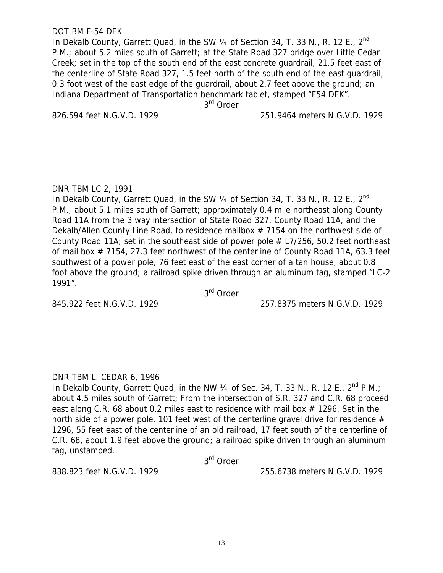#### DOT BM F-54 DEK

In Dekalb County, Garrett Quad, in the SW 1/4 of Section 34, T. 33 N., R. 12 E., 2<sup>nd</sup> P.M.; about 5.2 miles south of Garrett; at the State Road 327 bridge over Little Cedar Creek; set in the top of the south end of the east concrete guardrail, 21.5 feet east of the centerline of State Road 327, 1.5 feet north of the south end of the east guardrail, 0.3 foot west of the east edge of the guardrail, about 2.7 feet above the ground; an Indiana Department of Transportation benchmark tablet, stamped "F54 DEK".

3<sup>rd</sup> Order

826.594 feet N.G.V.D. 1929 251.9464 meters N.G.V.D. 1929

#### DNR TBM LC 2, 1991

In Dekalb County, Garrett Quad, in the SW 1/4 of Section 34, T. 33 N., R. 12 E., 2<sup>nd</sup> P.M.; about 5.1 miles south of Garrett; approximately 0.4 mile northeast along County Road 11A from the 3 way intersection of State Road 327, County Road 11A, and the Dekalb/Allen County Line Road, to residence mailbox # 7154 on the northwest side of County Road 11A; set in the southeast side of power pole  $#$  L7/256, 50.2 feet northeast of mail box # 7154, 27.3 feet northwest of the centerline of County Road 11A, 63.3 feet southwest of a power pole, 76 feet east of the east corner of a tan house, about 0.8 foot above the ground; a railroad spike driven through an aluminum tag, stamped "LC-2 1991".

3rd Order

845.922 feet N.G.V.D. 1929 257.8375 meters N.G.V.D. 1929

#### DNR TBM L. CEDAR 6, 1996

In Dekalb County, Garrett Quad, in the NW  $\frac{1}{4}$  of Sec. 34, T. 33 N., R. 12 E., 2<sup>nd</sup> P.M.; about 4.5 miles south of Garrett; From the intersection of S.R. 327 and C.R. 68 proceed east along C.R. 68 about 0.2 miles east to residence with mail box  $#$  1296. Set in the north side of a power pole. 101 feet west of the centerline gravel drive for residence  $#$ 1296, 55 feet east of the centerline of an old railroad, 17 feet south of the centerline of C.R. 68, about 1.9 feet above the ground; a railroad spike driven through an aluminum tag, unstamped.

3rd Order

838.823 feet N.G.V.D. 1929 255.6738 meters N.G.V.D. 1929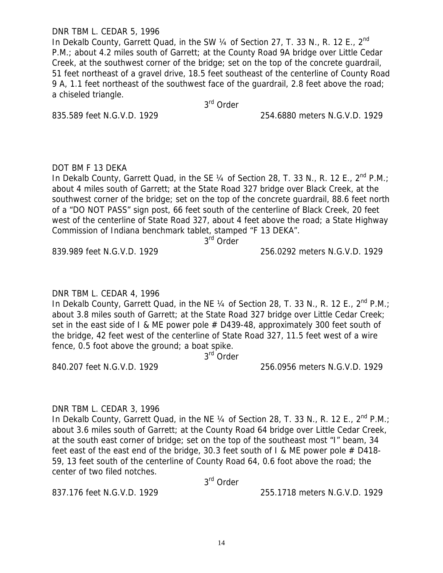### DNR TBM L. CEDAR 5, 1996

In Dekalb County, Garrett Quad, in the SW 1/4 of Section 27, T. 33 N., R. 12 E., 2<sup>nd</sup> P.M.; about 4.2 miles south of Garrett; at the County Road 9A bridge over Little Cedar Creek, at the southwest corner of the bridge; set on the top of the concrete guardrail, 51 feet northeast of a gravel drive, 18.5 feet southeast of the centerline of County Road 9 A, 1.1 feet northeast of the southwest face of the guardrail, 2.8 feet above the road; a chiseled triangle.

3rd Order

835.589 feet N.G.V.D. 1929 254.6880 meters N.G.V.D. 1929

# DOT BM F 13 DEKA

In Dekalb County, Garrett Quad, in the SE 1/4 of Section 28, T. 33 N., R. 12 E., 2<sup>nd</sup> P.M.; about 4 miles south of Garrett; at the State Road 327 bridge over Black Creek, at the southwest corner of the bridge; set on the top of the concrete guardrail, 88.6 feet north of a "DO NOT PASS" sign post, 66 feet south of the centerline of Black Creek, 20 feet west of the centerline of State Road 327, about 4 feet above the road; a State Highway Commission of Indiana benchmark tablet, stamped "F 13 DEKA".

3<sup>rd</sup> Order

839.989 feet N.G.V.D. 1929 256.0292 meters N.G.V.D. 1929

# DNR TBM L. CEDAR 4, 1996

In Dekalb County, Garrett Quad, in the NE  $\frac{1}{4}$  of Section 28, T. 33 N., R. 12 E., 2<sup>nd</sup> P.M.; about 3.8 miles south of Garrett; at the State Road 327 bridge over Little Cedar Creek; set in the east side of I & ME power pole  $#$  D439-48, approximately 300 feet south of the bridge, 42 feet west of the centerline of State Road 327, 11.5 feet west of a wire fence, 0.5 foot above the ground; a boat spike.

3<sup>rd</sup> Order

840.207 feet N.G.V.D. 1929 256.0956 meters N.G.V.D. 1929

# DNR TBM L. CEDAR 3, 1996

In Dekalb County, Garrett Quad, in the NE  $\frac{1}{4}$  of Section 28, T. 33 N., R. 12 E., 2<sup>nd</sup> P.M.; about 3.6 miles south of Garrett; at the County Road 64 bridge over Little Cedar Creek, at the south east corner of bridge; set on the top of the southeast most "I" beam, 34 feet east of the east end of the bridge, 30.3 feet south of  $\ell$  & ME power pole  $\#$  D418-59, 13 feet south of the centerline of County Road 64, 0.6 foot above the road; the center of two filed notches.

3rd Order

837.176 feet N.G.V.D. 1929 255.1718 meters N.G.V.D. 1929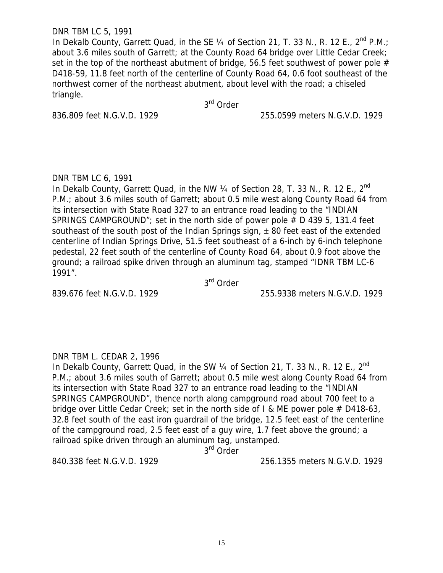### DNR TBM LC 5, 1991

In Dekalb County, Garrett Quad, in the SE  $\frac{1}{4}$  of Section 21, T. 33 N., R. 12 E., 2<sup>nd</sup> P.M.; about 3.6 miles south of Garrett; at the County Road 64 bridge over Little Cedar Creek; set in the top of the northeast abutment of bridge, 56.5 feet southwest of power pole  $#$ D418-59, 11.8 feet north of the centerline of County Road 64, 0.6 foot southeast of the northwest corner of the northeast abutment, about level with the road; a chiseled triangle.

3<sup>rd</sup> Order

836.809 feet N.G.V.D. 1929 255.0599 meters N.G.V.D. 1929

# DNR TBM LC 6, 1991

In Dekalb County, Garrett Quad, in the NW 1/4 of Section 28, T. 33 N., R. 12 E., 2<sup>nd</sup> P.M.; about 3.6 miles south of Garrett; about 0.5 mile west along County Road 64 from its intersection with State Road 327 to an entrance road leading to the "INDIAN SPRINGS CAMPGROUND"; set in the north side of power pole # D 439 5, 131.4 feet southeast of the south post of the Indian Springs sign,  $\pm$  80 feet east of the extended centerline of Indian Springs Drive, 51.5 feet southeast of a 6-inch by 6-inch telephone pedestal, 22 feet south of the centerline of County Road 64, about 0.9 foot above the ground; a railroad spike driven through an aluminum tag, stamped "IDNR TBM LC-6 1991".

3rd Order

839.676 feet N.G.V.D. 1929 255.9338 meters N.G.V.D. 1929

# DNR TBM L. CEDAR 2, 1996

In Dekalb County, Garrett Quad, in the SW  $\frac{1}{4}$  of Section 21, T. 33 N., R. 12 E., 2<sup>nd</sup> P.M.; about 3.6 miles south of Garrett; about 0.5 mile west along County Road 64 from its intersection with State Road 327 to an entrance road leading to the "INDIAN SPRINGS CAMPGROUND", thence north along campground road about 700 feet to a bridge over Little Cedar Creek; set in the north side of I & ME power pole  $#$  D418-63, 32.8 feet south of the east iron guardrail of the bridge, 12.5 feet east of the centerline of the campground road, 2.5 feet east of a guy wire, 1.7 feet above the ground; a railroad spike driven through an aluminum tag, unstamped.

3<sup>rd</sup> Order

840.338 feet N.G.V.D. 1929 256.1355 meters N.G.V.D. 1929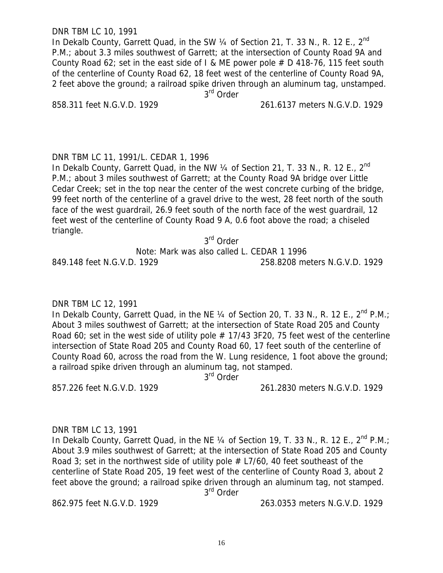DNR TBM LC 10, 1991

In Dekalb County, Garrett Quad, in the SW 1/4 of Section 21, T. 33 N., R. 12 E., 2<sup>nd</sup> P.M.; about 3.3 miles southwest of Garrett; at the intersection of County Road 9A and County Road 62; set in the east side of I & ME power pole  $# D$  418-76, 115 feet south of the centerline of County Road 62, 18 feet west of the centerline of County Road 9A, 2 feet above the ground; a railroad spike driven through an aluminum tag, unstamped. 3<sup>rd</sup> Order

858.311 feet N.G.V.D. 1929 261.6137 meters N.G.V.D. 1929

DNR TBM LC 11, 1991/L. CEDAR 1, 1996

In Dekalb County, Garrett Quad, in the NW  $\frac{1}{4}$  of Section 21, T. 33 N., R. 12 E., 2<sup>nd</sup> P.M.; about 3 miles southwest of Garrett; at the County Road 9A bridge over Little Cedar Creek; set in the top near the center of the west concrete curbing of the bridge, 99 feet north of the centerline of a gravel drive to the west, 28 feet north of the south face of the west guardrail, 26.9 feet south of the north face of the west guardrail, 12 feet west of the centerline of County Road 9 A, 0.6 foot above the road; a chiseled triangle.

3rd Order

Note: Mark was also called L. CEDAR 1 1996

849.148 feet N.G.V.D. 1929 258.8208 meters N.G.V.D. 1929

#### DNR TBM LC 12, 1991

In Dekalb County, Garrett Quad, in the NE  $\frac{1}{4}$  of Section 20, T. 33 N., R. 12 E.,  $2^{nd}$  P.M.: About 3 miles southwest of Garrett; at the intersection of State Road 205 and County Road 60; set in the west side of utility pole  $# 17/43$  3F20, 75 feet west of the centerline intersection of State Road 205 and County Road 60, 17 feet south of the centerline of County Road 60, across the road from the W. Lung residence, 1 foot above the ground; a railroad spike driven through an aluminum tag, not stamped.

3<sup>rd</sup> Order

857.226 feet N.G.V.D. 1929 261.2830 meters N.G.V.D. 1929

# DNR TBM LC 13, 1991

In Dekalb County, Garrett Quad, in the NE  $\frac{1}{4}$  of Section 19, T. 33 N., R. 12 E., 2<sup>nd</sup> P.M.; About 3.9 miles southwest of Garrett; at the intersection of State Road 205 and County Road 3; set in the northwest side of utility pole  $#$  L7/60, 40 feet southeast of the centerline of State Road 205, 19 feet west of the centerline of County Road 3, about 2 feet above the ground; a railroad spike driven through an aluminum tag, not stamped.

3<sup>rd</sup> Order

862.975 feet N.G.V.D. 1929 263.0353 meters N.G.V.D. 1929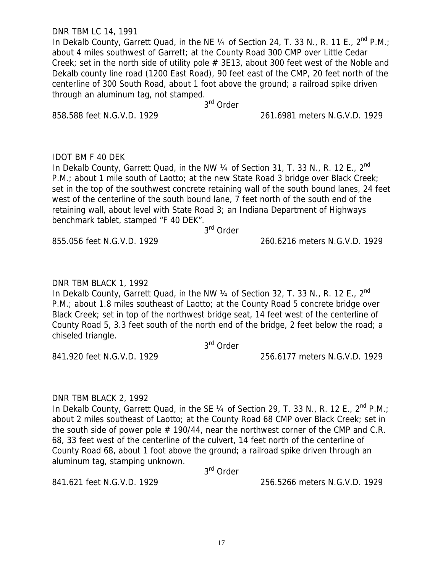DNR TBM LC 14, 1991

In Dekalb County, Garrett Quad, in the NE 1/4 of Section 24, T. 33 N., R. 11 E., 2<sup>nd</sup> P.M.; about 4 miles southwest of Garrett; at the County Road 300 CMP over Little Cedar Creek; set in the north side of utility pole  $#$  3E13, about 300 feet west of the Noble and Dekalb county line road (1200 East Road), 90 feet east of the CMP, 20 feet north of the centerline of 300 South Road, about 1 foot above the ground; a railroad spike driven through an aluminum tag, not stamped. 3rd Order

858.588 feet N.G.V.D. 1929 261.6981 meters N.G.V.D. 1929

IDOT BM F 40 DEK

In Dekalb County, Garrett Quad, in the NW 1/4 of Section 31, T. 33 N., R. 12 E., 2<sup>nd</sup> P.M.; about 1 mile south of Laotto; at the new State Road 3 bridge over Black Creek; set in the top of the southwest concrete retaining wall of the south bound lanes, 24 feet west of the centerline of the south bound lane, 7 feet north of the south end of the retaining wall, about level with State Road 3; an Indiana Department of Highways benchmark tablet, stamped "F 40 DEK".

.<br>3<sup>rd</sup> Order

855.056 feet N.G.V.D. 1929 260.6216 meters N.G.V.D. 1929

DNR TBM BLACK 1, 1992

In Dekalb County, Garrett Quad, in the NW 1/4 of Section 32, T. 33 N., R. 12 E., 2<sup>nd</sup> P.M.; about 1.8 miles southeast of Laotto; at the County Road 5 concrete bridge over Black Creek; set in top of the northwest bridge seat, 14 feet west of the centerline of County Road 5, 3.3 feet south of the north end of the bridge, 2 feet below the road; a chiseled triangle.

3<sup>rd</sup> Order

841.920 feet N.G.V.D. 1929 256.6177 meters N.G.V.D. 1929

# DNR TBM BLACK 2, 1992

In Dekalb County, Garrett Quad, in the SE  $\frac{1}{4}$  of Section 29, T. 33 N., R. 12 E., 2<sup>nd</sup> P.M.; about 2 miles southeast of Laotto; at the County Road 68 CMP over Black Creek; set in the south side of power pole  $# 190/44$ , near the northwest corner of the CMP and C.R. 68, 33 feet west of the centerline of the culvert, 14 feet north of the centerline of County Road 68, about 1 foot above the ground; a railroad spike driven through an aluminum tag, stamping unknown.

3rd Order

841.621 feet N.G.V.D. 1929 256.5266 meters N.G.V.D. 1929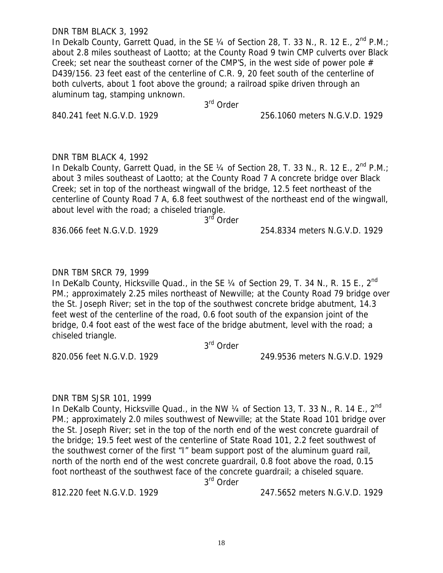DNR TBM BLACK 3, 1992

In Dekalb County, Garrett Quad, in the SE  $\frac{1}{4}$  of Section 28, T. 33 N., R. 12 E., 2<sup>nd</sup> P.M.; about 2.8 miles southeast of Laotto; at the County Road 9 twin CMP culverts over Black Creek; set near the southeast corner of the CMP'S, in the west side of power pole  $#$ D439/156. 23 feet east of the centerline of C.R. 9, 20 feet south of the centerline of both culverts, about 1 foot above the ground; a railroad spike driven through an aluminum tag, stamping unknown.

3rd Order

840.241 feet N.G.V.D. 1929 256.1060 meters N.G.V.D. 1929

# DNR TBM BLACK 4, 1992

In Dekalb County, Garrett Quad, in the SE 1/4 of Section 28, T, 33 N., R, 12 E., 2<sup>nd</sup> P.M.; about 3 miles southeast of Laotto; at the County Road 7 A concrete bridge over Black Creek; set in top of the northeast wingwall of the bridge, 12.5 feet northeast of the centerline of County Road 7 A, 6.8 feet southwest of the northeast end of the wingwall, about level with the road; a chiseled triangle.

3<sup>rd</sup> Order

836.066 feet N.G.V.D. 1929 254.8334 meters N.G.V.D. 1929

# DNR TBM SRCR 79, 1999

In DeKalb County, Hicksville Quad., in the SE  $\frac{1}{4}$  of Section 29, T. 34 N., R. 15 E., 2<sup>nd</sup> PM.; approximately 2.25 miles northeast of Newville; at the County Road 79 bridge over the St. Joseph River; set in the top of the southwest concrete bridge abutment, 14.3 feet west of the centerline of the road, 0.6 foot south of the expansion joint of the bridge, 0.4 foot east of the west face of the bridge abutment, level with the road; a chiseled triangle.

3<sup>rd</sup> Order

820.056 feet N.G.V.D. 1929 249.9536 meters N.G.V.D. 1929

# DNR TBM SJSR 101, 1999

In DeKalb County, Hicksville Quad., in the NW  $\frac{1}{4}$  of Section 13, T. 33 N., R. 14 E., 2<sup>nd</sup> PM.; approximately 2.0 miles southwest of Newville; at the State Road 101 bridge over the St. Joseph River; set in the top of the north end of the west concrete guardrail of the bridge; 19.5 feet west of the centerline of State Road 101, 2.2 feet southwest of the southwest corner of the first "I" beam support post of the aluminum guard rail, north of the north end of the west concrete guardrail, 0.8 foot above the road, 0.15 foot northeast of the southwest face of the concrete guardrail; a chiseled square.

3rd Order

812.220 feet N.G.V.D. 1929 247.5652 meters N.G.V.D. 1929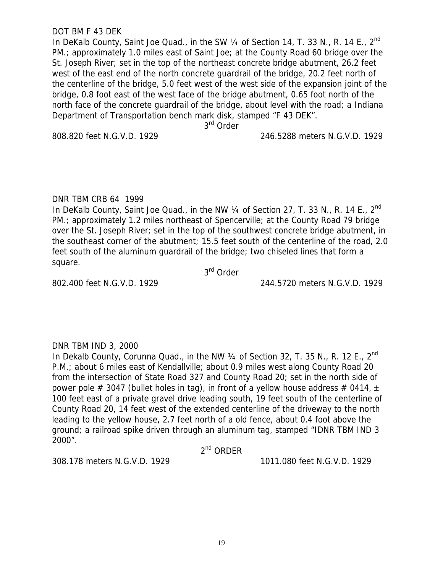#### DOT BM F 43 DEK

In DeKalb County, Saint Joe Quad., in the SW  $\frac{1}{4}$  of Section 14, T. 33 N., R. 14 E., 2<sup>nd</sup> PM.; approximately 1.0 miles east of Saint Joe; at the County Road 60 bridge over the St. Joseph River; set in the top of the northeast concrete bridge abutment, 26.2 feet west of the east end of the north concrete guardrail of the bridge, 20.2 feet north of the centerline of the bridge, 5.0 feet west of the west side of the expansion joint of the bridge, 0.8 foot east of the west face of the bridge abutment, 0.65 foot north of the north face of the concrete guardrail of the bridge, about level with the road; a Indiana Department of Transportation bench mark disk, stamped "F 43 DEK".

3<sup>rd</sup> Order

808.820 feet N.G.V.D. 1929 246.5288 meters N.G.V.D. 1929

### DNR TBM CRB 64 1999

In DeKalb County, Saint Joe Quad., in the NW 1/4 of Section 27, T. 33 N., R. 14 E., 2<sup>nd</sup> PM.; approximately 1.2 miles northeast of Spencerville; at the County Road 79 bridge over the St. Joseph River; set in the top of the southwest concrete bridge abutment, in the southeast corner of the abutment; 15.5 feet south of the centerline of the road, 2.0 feet south of the aluminum guardrail of the bridge; two chiseled lines that form a square.

3rd Order

802.400 feet N.G.V.D. 1929 244.5720 meters N.G.V.D. 1929

# DNR TBM IND 3, 2000

In Dekalb County, Corunna Quad., in the NW 1/4 of Section 32, T. 35 N., R. 12 E., 2<sup>nd</sup> P.M.; about 6 miles east of Kendallville; about 0.9 miles west along County Road 20 from the intersection of State Road 327 and County Road 20; set in the north side of power pole # 3047 (bullet holes in tag), in front of a yellow house address # 0414,  $\pm$ 100 feet east of a private gravel drive leading south, 19 feet south of the centerline of County Road 20, 14 feet west of the extended centerline of the driveway to the north leading to the yellow house, 2.7 feet north of a old fence, about 0.4 foot above the ground; a railroad spike driven through an aluminum tag, stamped "IDNR TBM IND 3 2000".

2nd ORDER

308.178 meters N.G.V.D. 1929 1011.080 feet N.G.V.D. 1929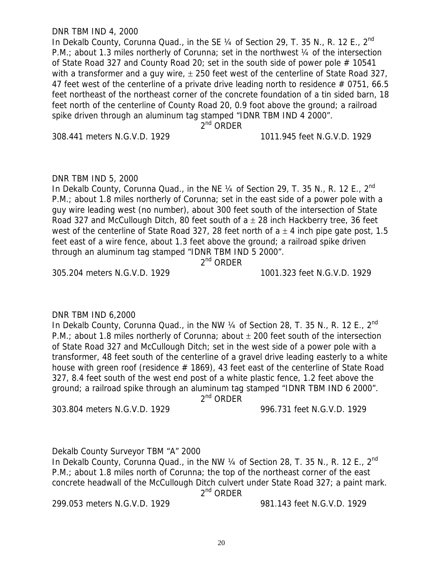#### DNR TBM IND 4, 2000

In Dekalb County, Corunna Quad., in the SE  $\frac{1}{4}$  of Section 29, T. 35 N., R. 12 E., 2<sup>nd</sup> P.M.; about 1.3 miles northerly of Corunna; set in the northwest 1/4 of the intersection of State Road 327 and County Road 20; set in the south side of power pole  $#$  10541 with a transformer and a guy wire,  $\pm$  250 feet west of the centerline of State Road 327, 47 feet west of the centerline of a private drive leading north to residence # 0751, 66.5 feet northeast of the northeast corner of the concrete foundation of a tin sided barn, 18 feet north of the centerline of County Road 20, 0.9 foot above the ground; a railroad spike driven through an aluminum tag stamped "IDNR TBM IND 4 2000".

 $2^{nd}$  ORDFR

308.441 meters N.G.V.D. 1929 1011.945 feet N.G.V.D. 1929

#### DNR TBM IND 5, 2000

In Dekalb County, Corunna Quad., in the NE 1/4 of Section 29, T. 35 N., R. 12 E., 2<sup>nd</sup> P.M.; about 1.8 miles northerly of Corunna; set in the east side of a power pole with a guy wire leading west (no number), about 300 feet south of the intersection of State Road 327 and McCullough Ditch, 80 feet south of  $a \pm 28$  inch Hackberry tree, 36 feet west of the centerline of State Road 327, 28 feet north of  $a \pm 4$  inch pipe gate post, 1.5 feet east of a wire fence, about 1.3 feet above the ground; a railroad spike driven through an aluminum tag stamped "IDNR TBM IND 5 2000".

2<sup>nd</sup> ORDER

305.204 meters N.G.V.D. 1929 1001.323 feet N.G.V.D. 1929

#### DNR TBM IND 6,2000

In Dekalb County, Corunna Quad., in the NW  $\frac{1}{4}$  of Section 28, T. 35 N., R. 12 E., 2<sup>nd</sup> P.M.; about 1.8 miles northerly of Corunna; about  $\pm$  200 feet south of the intersection of State Road 327 and McCullough Ditch; set in the west side of a power pole with a transformer, 48 feet south of the centerline of a gravel drive leading easterly to a white house with green roof (residence  $#$  1869), 43 feet east of the centerline of State Road 327, 8.4 feet south of the west end post of a white plastic fence, 1.2 feet above the ground; a railroad spike through an aluminum tag stamped "IDNR TBM IND 6 2000".

2<sup>nd</sup> ORDER

303.804 meters N.G.V.D. 1929 996.731 feet N.G.V.D. 1929

Dekalb County Surveyor TBM "A" 2000

In Dekalb County, Corunna Quad., in the NW 1/4 of Section 28, T. 35 N., R. 12 E., 2<sup>nd</sup> P.M.; about 1.8 miles north of Corunna; the top of the northeast corner of the east concrete headwall of the McCullough Ditch culvert under State Road 327; a paint mark. 2<sup>nd</sup> ORDER

299.053 meters N.G.V.D. 1929 981.143 feet N.G.V.D. 1929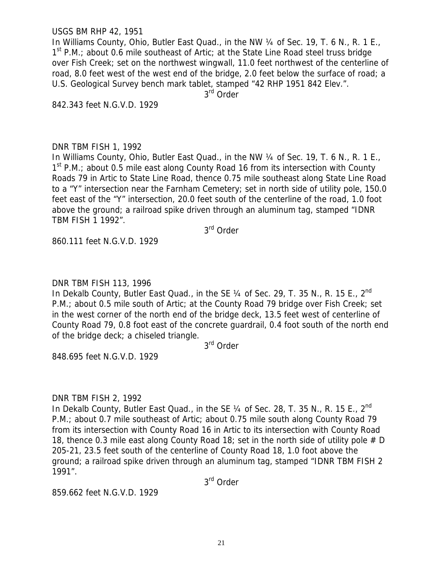#### USGS BM RHP 42, 1951

In Williams County, Ohio, Butler East Quad., in the NW 1/4 of Sec. 19, T. 6 N., R. 1 E.,  $1<sup>st</sup>$  P.M.; about 0.6 mile southeast of Artic; at the State Line Road steel truss bridge over Fish Creek; set on the northwest wingwall, 11.0 feet northwest of the centerline of road, 8.0 feet west of the west end of the bridge, 2.0 feet below the surface of road; a U.S. Geological Survey bench mark tablet, stamped "42 RHP 1951 842 Elev.".

3<sup>rd</sup> Order

842.343 feet N.G.V.D. 1929

### DNR TBM FISH 1, 1992

In Williams County, Ohio, Butler East Quad., in the NW 1/4 of Sec. 19, T. 6 N., R. 1 E.,  $1<sup>st</sup>$  P.M.; about 0.5 mile east along County Road 16 from its intersection with County Roads 79 in Artic to State Line Road, thence 0.75 mile southeast along State Line Road to a "Y" intersection near the Farnham Cemetery; set in north side of utility pole, 150.0 feet east of the "Y" intersection, 20.0 feet south of the centerline of the road, 1.0 foot above the ground; a railroad spike driven through an aluminum tag, stamped "IDNR TBM FISH 1 1992".

3rd Order

860.111 feet N.G.V.D. 1929

### DNR TBM FISH 113, 1996

In Dekalb County, Butler East Quad., in the SE 1/4 of Sec. 29, T. 35 N., R. 15 E., 2<sup>nd</sup> P.M.; about 0.5 mile south of Artic; at the County Road 79 bridge over Fish Creek; set in the west corner of the north end of the bridge deck, 13.5 feet west of centerline of County Road 79, 0.8 foot east of the concrete guardrail, 0.4 foot south of the north end of the bridge deck; a chiseled triangle.

3rd Order

848.695 feet N.G.V.D. 1929

#### DNR TBM FISH 2, 1992

In Dekalb County, Butler East Quad., in the SE  $\frac{1}{4}$  of Sec. 28, T. 35 N., R. 15 E., 2<sup>nd</sup> P.M.; about 0.7 mile southeast of Artic; about 0.75 mile south along County Road 79 from its intersection with County Road 16 in Artic to its intersection with County Road 18, thence 0.3 mile east along County Road 18; set in the north side of utility pole  $# D$ 205-21, 23.5 feet south of the centerline of County Road 18, 1.0 foot above the ground; a railroad spike driven through an aluminum tag, stamped "IDNR TBM FISH 2 1991".

3rd Order

859.662 feet N.G.V.D. 1929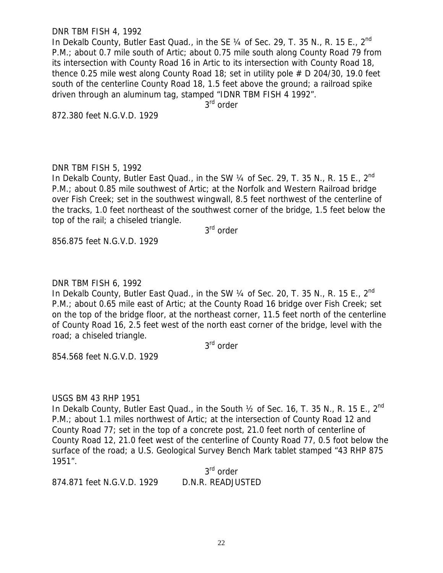#### DNR TBM FISH 4, 1992

In Dekalb County, Butler East Quad., in the SE  $\frac{1}{4}$  of Sec. 29, T. 35 N., R. 15 E., 2<sup>nd</sup> P.M.; about 0.7 mile south of Artic; about 0.75 mile south along County Road 79 from its intersection with County Road 16 in Artic to its intersection with County Road 18, thence 0.25 mile west along County Road 18; set in utility pole  $# D 204/30$ , 19.0 feet south of the centerline County Road 18, 1.5 feet above the ground; a railroad spike driven through an aluminum tag, stamped "IDNR TBM FISH 4 1992".

3<sup>rd</sup> order

872.380 feet N.G.V.D. 1929

### DNR TBM FISH 5, 1992

In Dekalb County, Butler East Quad., in the SW 1/4 of Sec. 29, T. 35 N., R. 15 E., 2<sup>nd</sup> P.M.; about 0.85 mile southwest of Artic; at the Norfolk and Western Railroad bridge over Fish Creek; set in the southwest wingwall, 8.5 feet northwest of the centerline of the tracks, 1.0 feet northeast of the southwest corner of the bridge, 1.5 feet below the top of the rail; a chiseled triangle.

3rd order

856.875 feet N.G.V.D. 1929

### DNR TBM FISH 6, 1992

In Dekalb County, Butler East Quad., in the SW 1/4 of Sec. 20, T. 35 N., R. 15 E., 2<sup>nd</sup> P.M.; about 0.65 mile east of Artic; at the County Road 16 bridge over Fish Creek; set on the top of the bridge floor, at the northeast corner, 11.5 feet north of the centerline of County Road 16, 2.5 feet west of the north east corner of the bridge, level with the road; a chiseled triangle.

3<sup>rd</sup> order

854.568 feet N.G.V.D. 1929

#### USGS BM 43 RHP 1951

In Dekalb County, Butler East Quad., in the South  $\frac{1}{2}$  of Sec. 16, T. 35 N., R. 15 E., 2<sup>nd</sup> P.M.; about 1.1 miles northwest of Artic; at the intersection of County Road 12 and County Road 77; set in the top of a concrete post, 21.0 feet north of centerline of County Road 12, 21.0 feet west of the centerline of County Road 77, 0.5 foot below the surface of the road; a U.S. Geological Survey Bench Mark tablet stamped "43 RHP 875 1951".

3<sup>rd</sup> order 874.871 feet N.G.V.D. 1929 D.N.R. READJUSTED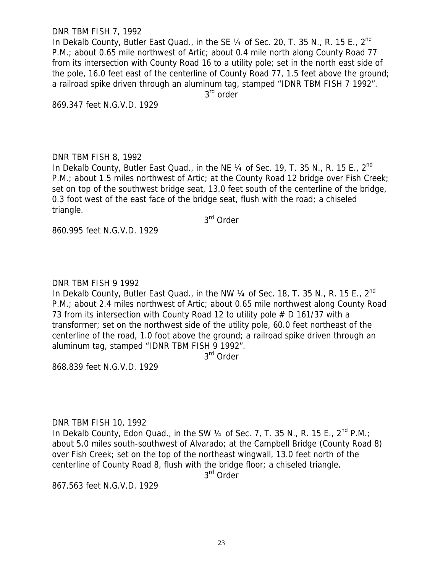#### DNR TBM FISH 7, 1992

In Dekalb County, Butler East Quad., in the SE  $\frac{1}{4}$  of Sec. 20, T. 35 N., R. 15 E., 2<sup>nd</sup> P.M.; about 0.65 mile northwest of Artic; about 0.4 mile north along County Road 77 from its intersection with County Road 16 to a utility pole; set in the north east side of the pole, 16.0 feet east of the centerline of County Road 77, 1.5 feet above the ground; a railroad spike driven through an aluminum tag, stamped "IDNR TBM FISH 7 1992".

3<sup>rd</sup> order

869.347 feet N.G.V.D. 1929

### DNR TBM FISH 8, 1992

In Dekalb County, Butler East Quad., in the NE  $\frac{1}{4}$  of Sec. 19, T. 35 N., R. 15 E., 2<sup>nd</sup> P.M.; about 1.5 miles northwest of Artic; at the County Road 12 bridge over Fish Creek; set on top of the southwest bridge seat, 13.0 feet south of the centerline of the bridge, 0.3 foot west of the east face of the bridge seat, flush with the road; a chiseled triangle.

3rd Order

860.995 feet N.G.V.D. 1929

# DNR TBM FISH 9 1992

In Dekalb County, Butler East Quad., in the NW 1/4 of Sec. 18, T. 35 N., R. 15 E., 2<sup>nd</sup> P.M.; about 2.4 miles northwest of Artic; about 0.65 mile northwest along County Road 73 from its intersection with County Road 12 to utility pole # D 161/37 with a transformer; set on the northwest side of the utility pole, 60.0 feet northeast of the centerline of the road, 1.0 foot above the ground; a railroad spike driven through an aluminum tag, stamped "IDNR TBM FISH 9 1992".

3<sup>rd</sup> Order

868.839 feet N.G.V.D. 1929

DNR TBM FISH 10, 1992

In Dekalb County, Edon Quad., in the SW  $\frac{1}{4}$  of Sec. 7, T. 35 N., R. 15 E.,  $2^{nd}$  P.M.; about 5.0 miles south-southwest of Alvarado; at the Campbell Bridge (County Road 8) over Fish Creek; set on the top of the northeast wingwall, 13.0 feet north of the centerline of County Road 8, flush with the bridge floor; a chiseled triangle.

3<sup>rd</sup> Order

867.563 feet N.G.V.D. 1929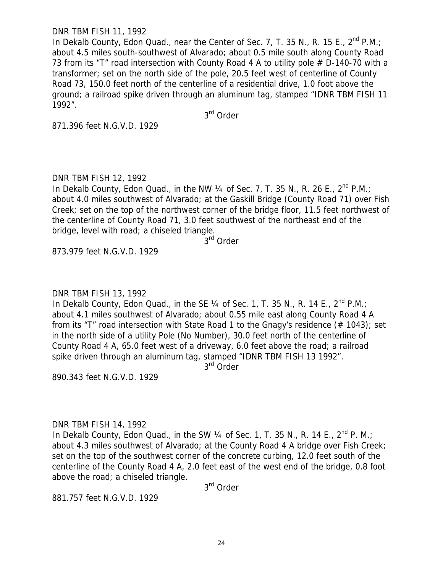#### DNR TBM FISH 11, 1992

In Dekalb County, Edon Quad., near the Center of Sec. 7, T. 35 N., R. 15 E.,  $2^{nd}$  P.M.; about 4.5 miles south-southwest of Alvarado; about 0.5 mile south along County Road 73 from its "T" road intersection with County Road 4 A to utility pole # D-140-70 with a transformer; set on the north side of the pole, 20.5 feet west of centerline of County Road 73, 150.0 feet north of the centerline of a residential drive, 1.0 foot above the ground; a railroad spike driven through an aluminum tag, stamped "IDNR TBM FISH 11 1992".

3rd Order

871.396 feet N.G.V.D. 1929

# DNR TBM FISH 12, 1992

In Dekalb County, Edon Quad., in the NW  $\frac{1}{4}$  of Sec. 7, T. 35 N., R. 26 E., 2<sup>nd</sup> P.M.; about 4.0 miles southwest of Alvarado; at the Gaskill Bridge (County Road 71) over Fish Creek; set on the top of the northwest corner of the bridge floor, 11.5 feet northwest of the centerline of County Road 71, 3.0 feet southwest of the northeast end of the bridge, level with road; a chiseled triangle.

3<sup>rd</sup> Order

873.979 feet N.G.V.D. 1929

DNR TBM FISH 13, 1992

In Dekalb County, Edon Quad., in the SE 1/4 of Sec. 1, T. 35 N., R. 14 E., 2<sup>nd</sup> P.M.; about 4.1 miles southwest of Alvarado; about 0.55 mile east along County Road 4 A from its "T" road intersection with State Road 1 to the Gnagy's residence (# 1043); set in the north side of a utility Pole (No Number), 30.0 feet north of the centerline of County Road 4 A, 65.0 feet west of a driveway, 6.0 feet above the road; a railroad spike driven through an aluminum tag, stamped "IDNR TBM FISH 13 1992".

3<sup>rd</sup> Order

890.343 feet N.G.V.D. 1929

#### DNR TBM FISH 14, 1992

In Dekalb County, Edon Quad., in the SW  $\frac{1}{4}$  of Sec. 1, T. 35 N., R. 14 E.,  $2^{nd}$  P. M.: about 4.3 miles southwest of Alvarado; at the County Road 4 A bridge over Fish Creek; set on the top of the southwest corner of the concrete curbing, 12.0 feet south of the centerline of the County Road 4 A, 2.0 feet east of the west end of the bridge, 0.8 foot above the road; a chiseled triangle.

3rd Order

881.757 feet N.G.V.D. 1929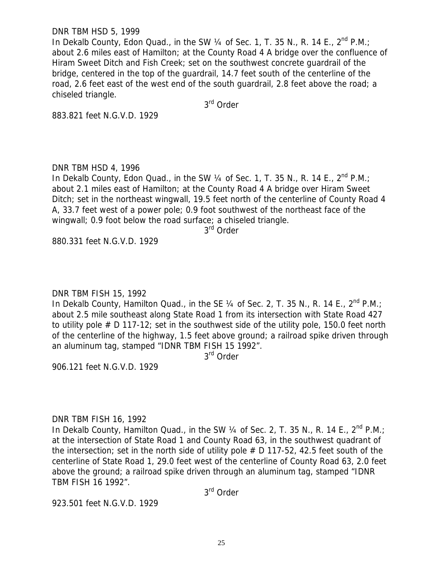#### DNR TBM HSD 5, 1999

In Dekalb County, Edon Quad., in the SW 1/4 of Sec. 1, T. 35 N., R. 14 E., 2<sup>nd</sup> P.M.; about 2.6 miles east of Hamilton; at the County Road 4 A bridge over the confluence of Hiram Sweet Ditch and Fish Creek; set on the southwest concrete guardrail of the bridge, centered in the top of the guardrail, 14.7 feet south of the centerline of the road, 2.6 feet east of the west end of the south guardrail, 2.8 feet above the road; a chiseled triangle.

3rd Order

883.821 feet N.G.V.D. 1929

### DNR TBM HSD 4, 1996

In Dekalb County, Edon Quad., in the SW 1/4 of Sec. 1, T. 35 N., R. 14 E., 2<sup>nd</sup> P.M.; about 2.1 miles east of Hamilton; at the County Road 4 A bridge over Hiram Sweet Ditch; set in the northeast wingwall, 19.5 feet north of the centerline of County Road 4 A, 33.7 feet west of a power pole; 0.9 foot southwest of the northeast face of the wingwall; 0.9 foot below the road surface; a chiseled triangle.

3<sup>rd</sup> Order

880.331 feet N.G.V.D. 1929

# DNR TBM FISH 15, 1992

In Dekalb County, Hamilton Quad., in the SE 1/4 of Sec. 2, T. 35 N., R. 14 E., 2<sup>nd</sup> P.M.; about 2.5 mile southeast along State Road 1 from its intersection with State Road 427 to utility pole # D 117-12; set in the southwest side of the utility pole, 150.0 feet north of the centerline of the highway, 1.5 feet above ground; a railroad spike driven through an aluminum tag, stamped "IDNR TBM FISH 15 1992".

3<sup>rd</sup> Order

906.121 feet N.G.V.D. 1929

# DNR TBM FISH 16, 1992

In Dekalb County, Hamilton Quad., in the SW  $\frac{1}{4}$  of Sec. 2, T. 35 N., R. 14 E.,  $2^{nd}$  P.M.; at the intersection of State Road 1 and County Road 63, in the southwest quadrant of the intersection; set in the north side of utility pole  $# D 117-52$ , 42.5 feet south of the centerline of State Road 1, 29.0 feet west of the centerline of County Road 63, 2.0 feet above the ground; a railroad spike driven through an aluminum tag, stamped "IDNR TBM FISH 16 1992".

3rd Order

923.501 feet N.G.V.D. 1929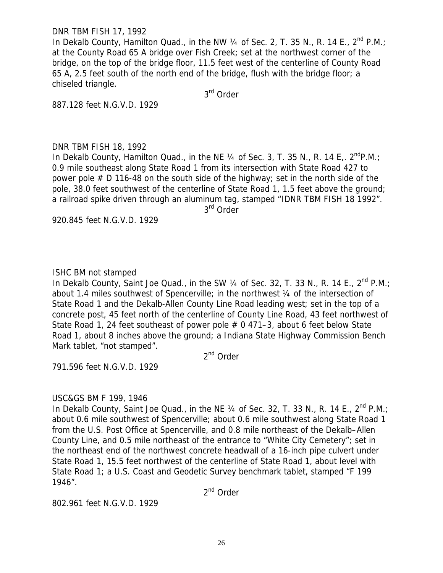DNR TBM FISH 17, 1992

In Dekalb County, Hamilton Quad., in the NW 1/4 of Sec. 2, T. 35 N., R. 14 E., 2<sup>nd</sup> P.M.; at the County Road 65 A bridge over Fish Creek; set at the northwest corner of the bridge, on the top of the bridge floor, 11.5 feet west of the centerline of County Road 65 A, 2.5 feet south of the north end of the bridge, flush with the bridge floor; a chiseled triangle.

3rd Order

887.128 feet N.G.V.D. 1929

### DNR TBM FISH 18, 1992

In Dekalb County, Hamilton Quad., in the NE  $\frac{1}{4}$  of Sec. 3, T. 35 N., R. 14 E.  $2^{nd}$ P.M.; 0.9 mile southeast along State Road 1 from its intersection with State Road 427 to power pole  $# D 116-48$  on the south side of the highway; set in the north side of the pole, 38.0 feet southwest of the centerline of State Road 1, 1.5 feet above the ground; a railroad spike driven through an aluminum tag, stamped "IDNR TBM FISH 18 1992". 3<sup>rd</sup> Order

920.845 feet N.G.V.D. 1929

### ISHC BM not stamped

In Dekalb County, Saint Joe Quad., in the SW 1/4 of Sec. 32, T. 33 N., R. 14 E., 2<sup>nd</sup> P.M.; about 1.4 miles southwest of Spencerville; in the northwest ¼ of the intersection of State Road 1 and the Dekalb-Allen County Line Road leading west; set in the top of a concrete post, 45 feet north of the centerline of County Line Road, 43 feet northwest of State Road 1, 24 feet southeast of power pole # 0 471–3, about 6 feet below State Road 1, about 8 inches above the ground; a Indiana State Highway Commission Bench Mark tablet, "not stamped".

2<sup>nd</sup> Order

791.596 feet N.G.V.D. 1929

# USC&GS BM F 199, 1946

In Dekalb County, Saint Joe Quad., in the NE  $\frac{1}{4}$  of Sec. 32, T. 33 N., R. 14 E., 2<sup>nd</sup> P.M.; about 0.6 mile southwest of Spencerville; about 0.6 mile southwest along State Road 1 from the U.S. Post Office at Spencerville, and 0.8 mile northeast of the Dekalb–Allen County Line, and 0.5 mile northeast of the entrance to "White City Cemetery"; set in the northeast end of the northwest concrete headwall of a 16-inch pipe culvert under State Road 1, 15.5 feet northwest of the centerline of State Road 1, about level with State Road 1; a U.S. Coast and Geodetic Survey benchmark tablet, stamped "F 199 1946".

2<sup>nd</sup> Order

802.961 feet N.G.V.D. 1929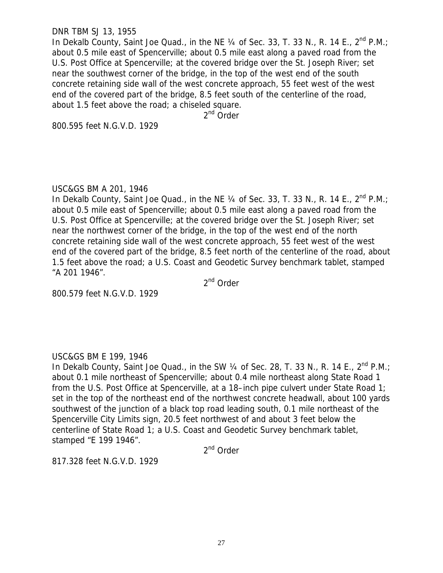#### DNR TBM SJ 13, 1955

In Dekalb County, Saint Joe Quad., in the NE  $\frac{1}{4}$  of Sec. 33, T. 33 N., R. 14 E., 2<sup>nd</sup> P.M.; about 0.5 mile east of Spencerville; about 0.5 mile east along a paved road from the U.S. Post Office at Spencerville; at the covered bridge over the St. Joseph River; set near the southwest corner of the bridge, in the top of the west end of the south concrete retaining side wall of the west concrete approach, 55 feet west of the west end of the covered part of the bridge, 8.5 feet south of the centerline of the road, about 1.5 feet above the road; a chiseled square.

2<sup>nd</sup> Order

800.595 feet N.G.V.D. 1929

#### USC&GS BM A 201, 1946

In Dekalb County, Saint Joe Quad., in the NE 1/4 of Sec. 33, T. 33 N., R. 14 E., 2<sup>nd</sup> P.M.; about 0.5 mile east of Spencerville; about 0.5 mile east along a paved road from the U.S. Post Office at Spencerville; at the covered bridge over the St. Joseph River; set near the northwest corner of the bridge, in the top of the west end of the north concrete retaining side wall of the west concrete approach, 55 feet west of the west end of the covered part of the bridge, 8.5 feet north of the centerline of the road, about 1.5 feet above the road; a U.S. Coast and Geodetic Survey benchmark tablet, stamped "A 201 1946".

2nd Order

800.579 feet N.G.V.D. 1929

# USC&GS BM E 199, 1946

In Dekalb County, Saint Joe Quad., in the SW 1/4 of Sec. 28, T. 33 N., R. 14 E., 2<sup>nd</sup> P.M.; about 0.1 mile northeast of Spencerville; about 0.4 mile northeast along State Road 1 from the U.S. Post Office at Spencerville, at a 18–inch pipe culvert under State Road 1; set in the top of the northeast end of the northwest concrete headwall, about 100 yards southwest of the junction of a black top road leading south, 0.1 mile northeast of the Spencerville City Limits sign, 20.5 feet northwest of and about 3 feet below the centerline of State Road 1; a U.S. Coast and Geodetic Survey benchmark tablet, stamped "E 199 1946".

2<sup>nd</sup> Order

817.328 feet N.G.V.D. 1929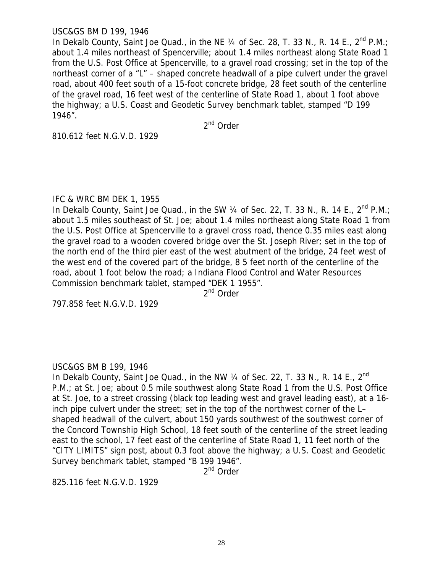### USC&GS BM D 199, 1946

In Dekalb County, Saint Joe Quad., in the NE  $\frac{1}{4}$  of Sec. 28, T. 33 N., R. 14 E., 2<sup>nd</sup> P.M.; about 1.4 miles northeast of Spencerville; about 1.4 miles northeast along State Road 1 from the U.S. Post Office at Spencerville, to a gravel road crossing; set in the top of the northeast corner of a "L" – shaped concrete headwall of a pipe culvert under the gravel road, about 400 feet south of a 15-foot concrete bridge, 28 feet south of the centerline of the gravel road, 16 feet west of the centerline of State Road 1, about 1 foot above the highway; a U.S. Coast and Geodetic Survey benchmark tablet, stamped "D 199 1946".

2<sup>nd</sup> Order

810.612 feet N.G.V.D. 1929

#### IFC & WRC BM DEK 1, 1955

In Dekalb County, Saint Joe Quad., in the SW 1/4 of Sec. 22, T. 33 N., R. 14 E., 2<sup>nd</sup> P.M.; about 1.5 miles southeast of St. Joe; about 1.4 miles northeast along State Road 1 from the U.S. Post Office at Spencerville to a gravel cross road, thence 0.35 miles east along the gravel road to a wooden covered bridge over the St. Joseph River; set in the top of the north end of the third pier east of the west abutment of the bridge, 24 feet west of the west end of the covered part of the bridge, 8 5 feet north of the centerline of the road, about 1 foot below the road; a Indiana Flood Control and Water Resources Commission benchmark tablet, stamped "DEK 1 1955".

2<sup>nd</sup> Order

797.858 feet N.G.V.D. 1929

# USC&GS BM B 199, 1946

In Dekalb County, Saint Joe Quad., in the NW 1/4 of Sec. 22, T. 33 N., R. 14 E., 2<sup>nd</sup> P.M.; at St. Joe; about 0.5 mile southwest along State Road 1 from the U.S. Post Office at St. Joe, to a street crossing (black top leading west and gravel leading east), at a 16 inch pipe culvert under the street; set in the top of the northwest corner of the L– shaped headwall of the culvert, about 150 yards southwest of the southwest corner of the Concord Township High School, 18 feet south of the centerline of the street leading east to the school, 17 feet east of the centerline of State Road 1, 11 feet north of the "CITY LIMITS" sign post, about 0.3 foot above the highway; a U.S. Coast and Geodetic Survey benchmark tablet, stamped "B 199 1946".

2<sup>nd</sup> Order

825.116 feet N.G.V.D. 1929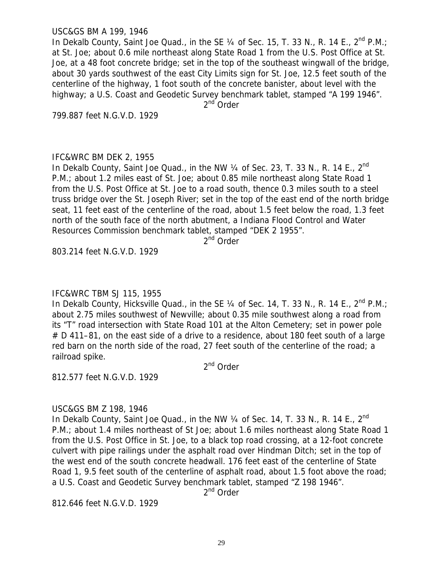USC&GS BM A 199, 1946

In Dekalb County, Saint Joe Quad., in the SE  $\frac{1}{4}$  of Sec. 15, T. 33 N., R. 14 E., 2<sup>nd</sup> P.M.; at St. Joe; about 0.6 mile northeast along State Road 1 from the U.S. Post Office at St. Joe, at a 48 foot concrete bridge; set in the top of the southeast wingwall of the bridge, about 30 yards southwest of the east City Limits sign for St. Joe, 12.5 feet south of the centerline of the highway, 1 foot south of the concrete banister, about level with the highway; a U.S. Coast and Geodetic Survey benchmark tablet, stamped "A 199 1946".

2<sup>nd</sup> Order

799.887 feet N.G.V.D. 1929

#### IFC&WRC BM DEK 2, 1955

In Dekalb County, Saint Joe Quad., in the NW  $\frac{1}{4}$  of Sec. 23, T. 33 N., R. 14 E.,  $2^{nd}$ P.M.; about 1.2 miles east of St. Joe; about 0.85 mile northeast along State Road 1 from the U.S. Post Office at St. Joe to a road south, thence 0.3 miles south to a steel truss bridge over the St. Joseph River; set in the top of the east end of the north bridge seat, 11 feet east of the centerline of the road, about 1.5 feet below the road, 1.3 feet north of the south face of the north abutment, a Indiana Flood Control and Water Resources Commission benchmark tablet, stamped "DEK 2 1955".

2<sup>nd</sup> Order

803.214 feet N.G.V.D. 1929

# IFC&WRC TBM SJ 115, 1955

In Dekalb County, Hicksville Quad., in the SE 1/4 of Sec. 14, T. 33 N., R. 14 E., 2<sup>nd</sup> P.M.; about 2.75 miles southwest of Newville; about 0.35 mile southwest along a road from its "T" road intersection with State Road 101 at the Alton Cemetery; set in power pole # D 411–81, on the east side of a drive to a residence, about 180 feet south of a large red barn on the north side of the road, 27 feet south of the centerline of the road; a railroad spike.

2<sup>nd</sup> Order

812.577 feet N.G.V.D. 1929

#### USC&GS BM Z 198, 1946

In Dekalb County, Saint Joe Quad., in the NW  $\frac{1}{4}$  of Sec. 14, T. 33 N., R. 14 E., 2<sup>nd</sup> P.M.; about 1.4 miles northeast of St Joe; about 1.6 miles northeast along State Road 1 from the U.S. Post Office in St. Joe, to a black top road crossing, at a 12-foot concrete culvert with pipe railings under the asphalt road over Hindman Ditch; set in the top of the west end of the south concrete headwall. 176 feet east of the centerline of State Road 1, 9.5 feet south of the centerline of asphalt road, about 1.5 foot above the road; a U.S. Coast and Geodetic Survey benchmark tablet, stamped "Z 198 1946".

2<sup>nd</sup> Order

812.646 feet N.G.V.D. 1929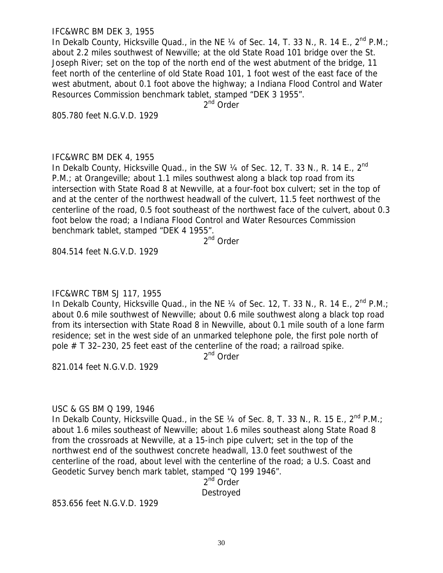#### IFC&WRC BM DEK 3, 1955

In Dekalb County, Hicksville Quad., in the NE  $\frac{1}{4}$  of Sec. 14, T. 33 N., R. 14 E., 2<sup>nd</sup> P.M.; about 2.2 miles southwest of Newville; at the old State Road 101 bridge over the St. Joseph River; set on the top of the north end of the west abutment of the bridge, 11 feet north of the centerline of old State Road 101, 1 foot west of the east face of the west abutment, about 0.1 foot above the highway; a Indiana Flood Control and Water Resources Commission benchmark tablet, stamped "DEK 3 1955".

2<sup>nd</sup> Order

805.780 feet N.G.V.D. 1929

#### IFC&WRC BM DEK 4, 1955

In Dekalb County, Hicksville Quad., in the SW  $\frac{1}{4}$  of Sec. 12, T. 33 N., R. 14 E., 2<sup>nd</sup> P.M.; at Orangeville; about 1.1 miles southwest along a black top road from its intersection with State Road 8 at Newville, at a four-foot box culvert; set in the top of and at the center of the northwest headwall of the culvert, 11.5 feet northwest of the centerline of the road, 0.5 foot southeast of the northwest face of the culvert, about 0.3 foot below the road; a Indiana Flood Control and Water Resources Commission benchmark tablet, stamped "DEK 4 1955".

2<sup>nd</sup> Order

804.514 feet N.G.V.D. 1929

# IFC&WRC TBM SJ 117, 1955

In Dekalb County, Hicksville Quad., in the NE  $\frac{1}{4}$  of Sec. 12, T. 33 N., R. 14 E.,  $2^{nd}$  P.M.; about 0.6 mile southwest of Newville; about 0.6 mile southwest along a black top road from its intersection with State Road 8 in Newville, about 0.1 mile south of a lone farm residence; set in the west side of an unmarked telephone pole, the first pole north of pole # T 32–230, 25 feet east of the centerline of the road; a railroad spike.

2<sup>nd</sup> Order

821.014 feet N.G.V.D. 1929

#### USC & GS BM Q 199, 1946

In Dekalb County, Hicksville Quad., in the SE 1/4 of Sec. 8, T. 33 N., R. 15 E., 2<sup>nd</sup> P.M.: about 1.6 miles southeast of Newville; about 1.6 miles southeast along State Road 8 from the crossroads at Newville, at a 15-inch pipe culvert; set in the top of the northwest end of the southwest concrete headwall, 13.0 feet southwest of the centerline of the road, about level with the centerline of the road; a U.S. Coast and Geodetic Survey bench mark tablet, stamped "Q 199 1946".

2<sup>nd</sup> Order Destroyed

853.656 feet N.G.V.D. 1929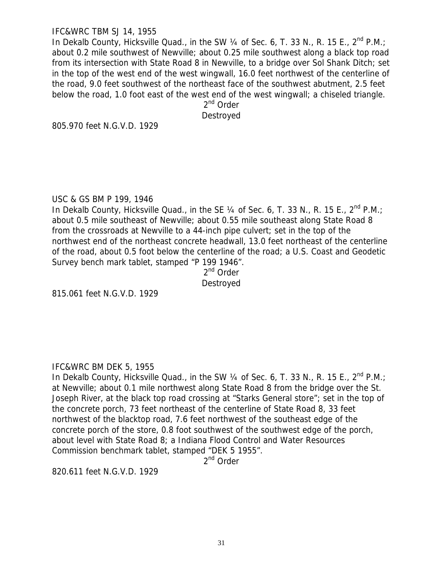### IFC&WRC TBM SJ 14, 1955

In Dekalb County, Hicksville Quad., in the SW  $\frac{1}{4}$  of Sec. 6, T. 33 N., R. 15 E.,  $2^{nd}$  P.M.; about 0.2 mile southwest of Newville; about 0.25 mile southwest along a black top road from its intersection with State Road 8 in Newville, to a bridge over Sol Shank Ditch; set in the top of the west end of the west wingwall, 16.0 feet northwest of the centerline of the road, 9.0 feet southwest of the northeast face of the southwest abutment, 2.5 feet below the road, 1.0 foot east of the west end of the west wingwall; a chiseled triangle.

2<sup>nd</sup> Order

Destroyed

805.970 feet N.G.V.D. 1929

### USC & GS BM P 199, 1946

In Dekalb County, Hicksville Quad., in the SE 1/4 of Sec. 6, T. 33 N., R. 15 E., 2<sup>nd</sup> P.M.; about 0.5 mile southeast of Newville; about 0.55 mile southeast along State Road 8 from the crossroads at Newville to a 44-inch pipe culvert; set in the top of the northwest end of the northeast concrete headwall, 13.0 feet northeast of the centerline of the road, about 0.5 foot below the centerline of the road; a U.S. Coast and Geodetic Survey bench mark tablet, stamped "P 199 1946".

2<sup>nd</sup> Order Destroyed

815.061 feet N.G.V.D. 1929

# IFC&WRC BM DEK 5, 1955

In Dekalb County, Hicksville Quad., in the SW  $\frac{1}{4}$  of Sec. 6, T. 33 N., R. 15 E.,  $2^{nd}$  P.M.; at Newville; about 0.1 mile northwest along State Road 8 from the bridge over the St. Joseph River, at the black top road crossing at "Starks General store"; set in the top of the concrete porch, 73 feet northeast of the centerline of State Road 8, 33 feet northwest of the blacktop road, 7.6 feet northwest of the southeast edge of the concrete porch of the store, 0.8 foot southwest of the southwest edge of the porch, about level with State Road 8; a Indiana Flood Control and Water Resources Commission benchmark tablet, stamped "DEK 5 1955".

2<sup>nd</sup> Order

820.611 feet N.G.V.D. 1929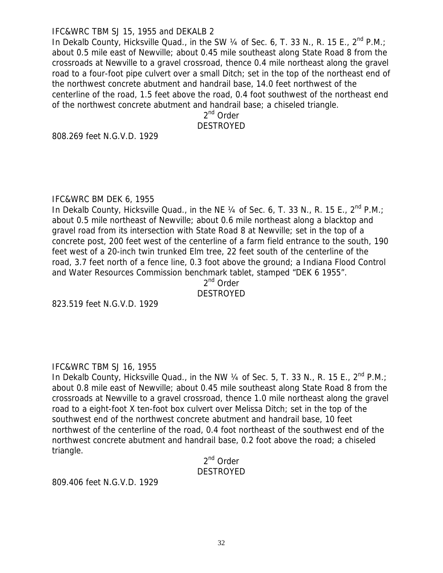#### IFC&WRC TBM SJ 15, 1955 and DEKALB 2

In Dekalb County, Hicksville Quad., in the SW  $\frac{1}{4}$  of Sec. 6, T. 33 N., R. 15 E.,  $2^{nd}$  P.M.; about 0.5 mile east of Newville; about 0.45 mile southeast along State Road 8 from the crossroads at Newville to a gravel crossroad, thence 0.4 mile northeast along the gravel road to a four-foot pipe culvert over a small Ditch; set in the top of the northeast end of the northwest concrete abutment and handrail base, 14.0 feet northwest of the centerline of the road, 1.5 feet above the road, 0.4 foot southwest of the northeast end of the northwest concrete abutment and handrail base; a chiseled triangle.

2<sup>nd</sup> Order

DESTROYED

808.269 feet N.G.V.D. 1929

### IFC&WRC BM DEK 6, 1955

In Dekalb County, Hicksville Quad., in the NE 1/4 of Sec. 6, T. 33 N., R. 15 E., 2<sup>nd</sup> P.M.; about 0.5 mile northeast of Newville; about 0.6 mile northeast along a blacktop and gravel road from its intersection with State Road 8 at Newville; set in the top of a concrete post, 200 feet west of the centerline of a farm field entrance to the south, 190 feet west of a 20-inch twin trunked Elm tree, 22 feet south of the centerline of the road, 3.7 feet north of a fence line, 0.3 foot above the ground; a Indiana Flood Control and Water Resources Commission benchmark tablet, stamped "DEK 6 1955".

2<sup>nd</sup> Order

#### DESTROYED

823.519 feet N.G.V.D. 1929

# IFC&WRC TBM SJ 16, 1955

In Dekalb County, Hicksville Quad., in the NW  $\frac{1}{4}$  of Sec. 5, T. 33 N., R. 15 E.,  $2^{nd}$  P.M.; about 0.8 mile east of Newville; about 0.45 mile southeast along State Road 8 from the crossroads at Newville to a gravel crossroad, thence 1.0 mile northeast along the gravel road to a eight-foot X ten-foot box culvert over Melissa Ditch; set in the top of the southwest end of the northwest concrete abutment and handrail base, 10 feet northwest of the centerline of the road, 0.4 foot northeast of the southwest end of the northwest concrete abutment and handrail base, 0.2 foot above the road; a chiseled triangle.

# 2<sup>nd</sup> Order DESTROYED

809.406 feet N.G.V.D. 1929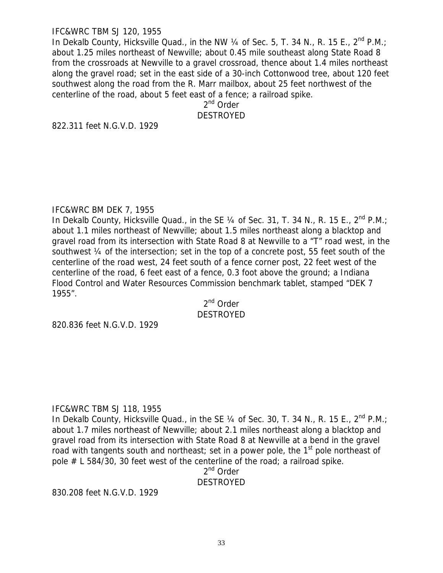### IFC&WRC TBM SJ 120, 1955

In Dekalb County, Hicksville Quad., in the NW  $\frac{1}{4}$  of Sec. 5, T. 34 N., R. 15 E.,  $2^{nd}$  P.M.; about 1.25 miles northeast of Newville; about 0.45 mile southeast along State Road 8 from the crossroads at Newville to a gravel crossroad, thence about 1.4 miles northeast along the gravel road; set in the east side of a 30-inch Cottonwood tree, about 120 feet southwest along the road from the R. Marr mailbox, about 25 feet northwest of the centerline of the road, about 5 feet east of a fence; a railroad spike.

2<sup>nd</sup> Order DESTROYED

822.311 feet N.G.V.D. 1929

### IFC&WRC BM DEK 7, 1955

In Dekalb County, Hicksville Quad., in the SE 1/4 of Sec. 31, T. 34 N., R. 15 E., 2<sup>nd</sup> P.M.; about 1.1 miles northeast of Newville; about 1.5 miles northeast along a blacktop and gravel road from its intersection with State Road 8 at Newville to a "T" road west, in the southwest ¼ of the intersection; set in the top of a concrete post, 55 feet south of the centerline of the road west, 24 feet south of a fence corner post, 22 feet west of the centerline of the road, 6 feet east of a fence, 0.3 foot above the ground; a Indiana Flood Control and Water Resources Commission benchmark tablet, stamped "DEK 7 1955".

2<sup>nd</sup> Order DESTROYED

820.836 feet N.G.V.D. 1929

# IFC&WRC TBM SJ 118, 1955

In Dekalb County, Hicksville Quad., in the SE 1/4 of Sec. 30, T. 34 N., R. 15 E., 2<sup>nd</sup> P.M.; about 1.7 miles northeast of Newville; about 2.1 miles northeast along a blacktop and gravel road from its intersection with State Road 8 at Newville at a bend in the gravel road with tangents south and northeast; set in a power pole, the  $1<sup>st</sup>$  pole northeast of pole # L 584/30, 30 feet west of the centerline of the road; a railroad spike.

2<sup>nd</sup> Order **DESTROYED** 

830.208 feet N.G.V.D. 1929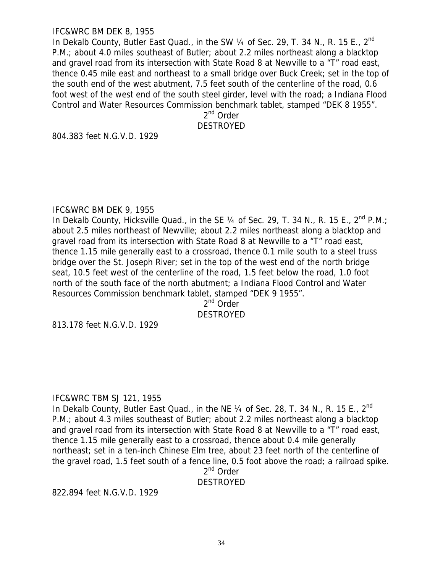### IFC&WRC BM DEK 8, 1955

In Dekalb County, Butler East Quad., in the SW  $\frac{1}{4}$  of Sec. 29, T. 34 N., R. 15 E., 2<sup>nd</sup> P.M.; about 4.0 miles southeast of Butler; about 2.2 miles northeast along a blacktop and gravel road from its intersection with State Road 8 at Newville to a "T" road east, thence 0.45 mile east and northeast to a small bridge over Buck Creek; set in the top of the south end of the west abutment, 7.5 feet south of the centerline of the road, 0.6 foot west of the west end of the south steel girder, level with the road; a Indiana Flood Control and Water Resources Commission benchmark tablet, stamped "DEK 8 1955".

2<sup>nd</sup> Order

DESTROYED

804.383 feet N.G.V.D. 1929

### IFC&WRC BM DEK 9, 1955

In Dekalb County, Hicksville Quad., in the SE 1/4 of Sec. 29, T. 34 N., R. 15 E., 2<sup>nd</sup> P.M.; about 2.5 miles northeast of Newville; about 2.2 miles northeast along a blacktop and gravel road from its intersection with State Road 8 at Newville to a "T" road east, thence 1.15 mile generally east to a crossroad, thence 0.1 mile south to a steel truss bridge over the St. Joseph River; set in the top of the west end of the north bridge seat, 10.5 feet west of the centerline of the road, 1.5 feet below the road, 1.0 foot north of the south face of the north abutment; a Indiana Flood Control and Water Resources Commission benchmark tablet, stamped "DEK 9 1955".

2<sup>nd</sup> Order DESTROYED

813.178 feet N.G.V.D. 1929

# IFC&WRC TBM SJ 121, 1955

In Dekalb County, Butler East Quad., in the NE 1/4 of Sec. 28, T. 34 N., R. 15 E., 2<sup>nd</sup> P.M.; about 4.3 miles southeast of Butler; about 2.2 miles northeast along a blacktop and gravel road from its intersection with State Road 8 at Newville to a "T" road east, thence 1.15 mile generally east to a crossroad, thence about 0.4 mile generally northeast; set in a ten-inch Chinese Elm tree, about 23 feet north of the centerline of the gravel road, 1.5 feet south of a fence line, 0.5 foot above the road; a railroad spike.

2<sup>nd</sup> Order

# **DESTROYED**

822.894 feet N.G.V.D. 1929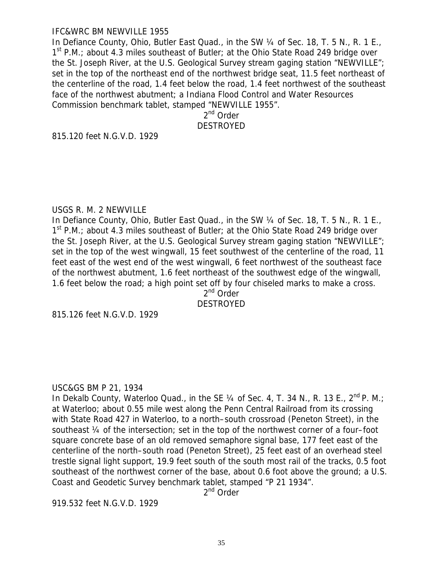#### IFC&WRC BM NEWVILLE 1955

In Defiance County, Ohio, Butler East Quad., in the SW 1/4 of Sec. 18, T. 5 N., R. 1 E.,  $1<sup>st</sup>$  P.M.; about 4.3 miles southeast of Butler; at the Ohio State Road 249 bridge over the St. Joseph River, at the U.S. Geological Survey stream gaging station "NEWVILLE"; set in the top of the northeast end of the northwest bridge seat, 11.5 feet northeast of the centerline of the road, 1.4 feet below the road, 1.4 feet northwest of the southeast face of the northwest abutment; a Indiana Flood Control and Water Resources Commission benchmark tablet, stamped "NEWVILLE 1955".

> 2<sup>nd</sup> Order DESTROYED

815.120 feet N.G.V.D. 1929

#### USGS R. M. 2 NEWVILLE

In Defiance County, Ohio, Butler East Quad., in the SW 1/4 of Sec. 18, T. 5 N., R. 1 E.,  $1<sup>st</sup>$  P.M.; about 4.3 miles southeast of Butler; at the Ohio State Road 249 bridge over the St. Joseph River, at the U.S. Geological Survey stream gaging station "NEWVILLE"; set in the top of the west wingwall, 15 feet southwest of the centerline of the road, 11 feet east of the west end of the west wingwall, 6 feet northwest of the southeast face of the northwest abutment, 1.6 feet northeast of the southwest edge of the wingwall, 1.6 feet below the road; a high point set off by four chiseled marks to make a cross.

2<sup>nd</sup> Order

DESTROYED

815.126 feet N.G.V.D. 1929

#### USC&GS BM P 21, 1934

In Dekalb County, Waterloo Quad., in the SE  $\frac{1}{4}$  of Sec. 4, T. 34 N., R. 13 E.,  $2^{nd}$  P. M.; at Waterloo; about 0.55 mile west along the Penn Central Railroad from its crossing with State Road 427 in Waterloo, to a north–south crossroad (Peneton Street), in the southeast ¼ of the intersection; set in the top of the northwest corner of a four–foot square concrete base of an old removed semaphore signal base, 177 feet east of the centerline of the north–south road (Peneton Street), 25 feet east of an overhead steel trestle signal light support, 19.9 feet south of the south most rail of the tracks, 0.5 foot southeast of the northwest corner of the base, about 0.6 foot above the ground; a U.S. Coast and Geodetic Survey benchmark tablet, stamped "P 21 1934".

2<sup>nd</sup> Order

919.532 feet N.G.V.D. 1929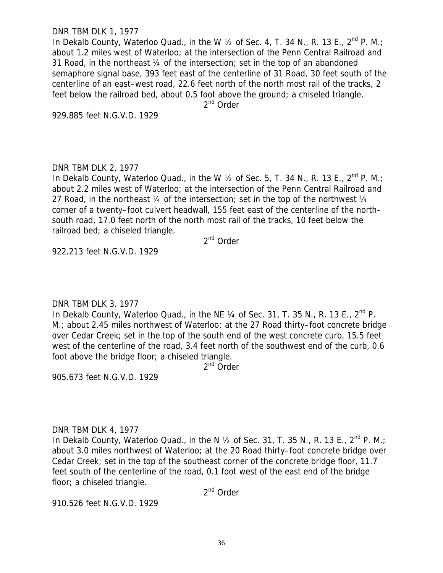#### DNR TBM DLK 1, 1977

In Dekalb County, Waterloo Quad., in the W  $\frac{1}{2}$  of Sec. 4, T. 34 N., R. 13 E.,  $2^{nd}$  P. M.; about 1.2 miles west of Waterloo; at the intersection of the Penn Central Railroad and 31 Road, in the northeast ¼ of the intersection; set in the top of an abandoned semaphore signal base, 393 feet east of the centerline of 31 Road, 30 feet south of the centerline of an east–west road, 22.6 feet north of the north most rail of the tracks, 2 feet below the railroad bed, about 0.5 foot above the ground; a chiseled triangle.

2<sup>nd</sup> Order

929.885 feet N.G.V.D. 1929

### DNR TBM DLK 2, 1977

In Dekalb County, Waterloo Quad., in the W  $\frac{1}{2}$  of Sec. 5, T. 34 N., R. 13 E.,  $2^{nd}$  P. M.; about 2.2 miles west of Waterloo; at the intersection of the Penn Central Railroad and 27 Road, in the northeast 1/4 of the intersection; set in the top of the northwest 1/4 corner of a twenty–foot culvert headwall, 155 feet east of the centerline of the north– south road, 17.0 feet north of the north most rail of the tracks, 10 feet below the railroad bed; a chiseled triangle.

2<sup>nd</sup> Order

922.213 feet N.G.V.D. 1929

# DNR TBM DLK 3, 1977

In Dekalb County, Waterloo Quad., in the NE  $\frac{1}{4}$  of Sec. 31, T. 35 N., R. 13 E.,  $2^{nd}$  P. M.; about 2.45 miles northwest of Waterloo; at the 27 Road thirty–foot concrete bridge over Cedar Creek; set in the top of the south end of the west concrete curb, 15.5 feet west of the centerline of the road, 3.4 feet north of the southwest end of the curb, 0.6 foot above the bridge floor; a chiseled triangle.

2<sup>nd</sup> Order

905.673 feet N.G.V.D. 1929

# DNR TBM DLK 4, 1977

In Dekalb County, Waterloo Quad., in the N  $\frac{1}{2}$  of Sec. 31, T. 35 N., R. 13 E.,  $2^{nd}$  P. M.; about 3.0 miles northwest of Waterloo; at the 20 Road thirty–foot concrete bridge over Cedar Creek; set in the top of the southeast corner of the concrete bridge floor, 11.7 feet south of the centerline of the road, 0.1 foot west of the east end of the bridge floor; a chiseled triangle.

2<sup>nd</sup> Order

910.526 feet N.G.V.D. 1929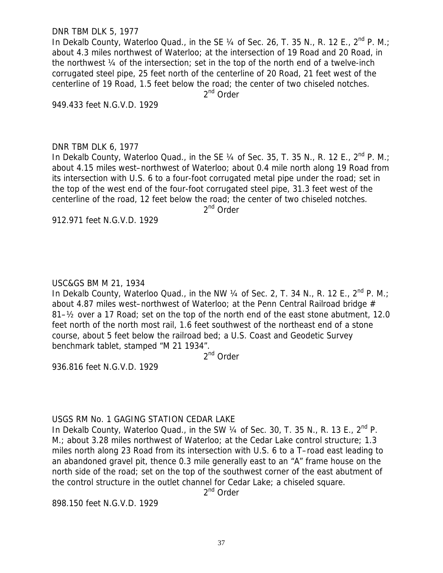#### DNR TBM DLK 5, 1977

In Dekalb County, Waterloo Quad., in the SE  $\frac{1}{4}$  of Sec. 26, T. 35 N., R. 12 E., 2<sup>nd</sup> P. M.; about 4.3 miles northwest of Waterloo; at the intersection of 19 Road and 20 Road, in the northwest ¼ of the intersection; set in the top of the north end of a twelve-inch corrugated steel pipe, 25 feet north of the centerline of 20 Road, 21 feet west of the centerline of 19 Road, 1.5 feet below the road; the center of two chiseled notches.

2<sup>nd</sup> Order

949.433 feet N.G.V.D. 1929

### DNR TBM DLK 6, 1977

In Dekalb County, Waterloo Quad., in the SE  $\frac{1}{4}$  of Sec. 35, T. 35 N., R. 12 E.,  $2^{nd}$  P. M.; about 4.15 miles west–northwest of Waterloo; about 0.4 mile north along 19 Road from its intersection with U.S. 6 to a four-foot corrugated metal pipe under the road; set in the top of the west end of the four-foot corrugated steel pipe, 31.3 feet west of the centerline of the road, 12 feet below the road; the center of two chiseled notches.

2<sup>nd</sup> Order

912.971 feet N.G.V.D. 1929

# USC&GS BM M 21, 1934

In Dekalb County, Waterloo Quad., in the NW 1/4 of Sec. 2, T. 34 N., R. 12 E., 2<sup>nd</sup> P. M.; about 4.87 miles west-northwest of Waterloo; at the Penn Central Railroad bridge # 81–½ over a 17 Road; set on the top of the north end of the east stone abutment, 12.0 feet north of the north most rail, 1.6 feet southwest of the northeast end of a stone course, about 5 feet below the railroad bed; a U.S. Coast and Geodetic Survey benchmark tablet, stamped "M 21 1934".

2<sup>nd</sup> Order

936.816 feet N.G.V.D. 1929

# USGS RM No. 1 GAGING STATION CEDAR LAKE

In Dekalb County, Waterloo Quad., in the SW  $\frac{1}{4}$  of Sec. 30, T. 35 N., R. 13 E.,  $2^{nd}$  P. M.; about 3.28 miles northwest of Waterloo; at the Cedar Lake control structure; 1.3 miles north along 23 Road from its intersection with U.S. 6 to a T–road east leading to an abandoned gravel pit, thence 0.3 mile generally east to an "A" frame house on the north side of the road; set on the top of the southwest corner of the east abutment of the control structure in the outlet channel for Cedar Lake; a chiseled square.

2<sup>nd</sup> Order

898.150 feet N.G.V.D. 1929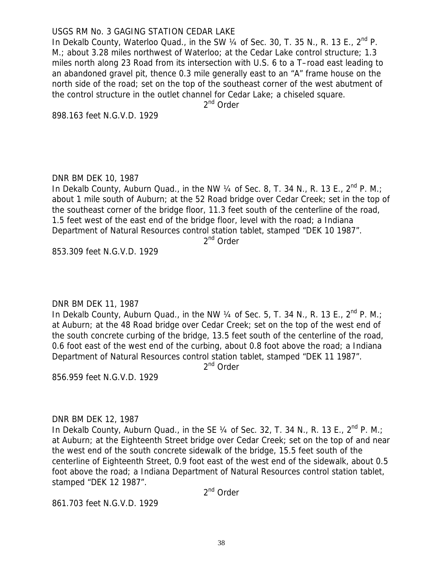### USGS RM No. 3 GAGING STATION CEDAR LAKE

In Dekalb County, Waterloo Quad., in the SW  $\frac{1}{4}$  of Sec. 30, T. 35 N., R. 13 E.,  $2^{nd}$  P. M.; about 3.28 miles northwest of Waterloo; at the Cedar Lake control structure; 1.3 miles north along 23 Road from its intersection with U.S. 6 to a T–road east leading to an abandoned gravel pit, thence 0.3 mile generally east to an "A" frame house on the north side of the road; set on the top of the southeast corner of the west abutment of the control structure in the outlet channel for Cedar Lake; a chiseled square.

2<sup>nd</sup> Order

898.163 feet N.G.V.D. 1929

### DNR BM DEK 10, 1987

In Dekalb County, Auburn Quad., in the NW  $\frac{1}{4}$  of Sec. 8, T. 34 N., R. 13 E.,  $2^{nd}$  P. M.; about 1 mile south of Auburn; at the 52 Road bridge over Cedar Creek; set in the top of the southeast corner of the bridge floor, 11.3 feet south of the centerline of the road, 1.5 feet west of the east end of the bridge floor, level with the road; a Indiana Department of Natural Resources control station tablet, stamped "DEK 10 1987".

2<sup>nd</sup> Order

853.309 feet N.G.V.D. 1929

# DNR BM DEK 11, 1987

In Dekalb County, Auburn Quad., in the NW  $\frac{1}{4}$  of Sec. 5, T. 34 N., R. 13 E., 2<sup>nd</sup> P. M.; at Auburn; at the 48 Road bridge over Cedar Creek; set on the top of the west end of the south concrete curbing of the bridge, 13.5 feet south of the centerline of the road, 0.6 foot east of the west end of the curbing, about 0.8 foot above the road; a Indiana Department of Natural Resources control station tablet, stamped "DEK 11 1987".

2<sup>nd</sup> Order

856.959 feet N.G.V.D. 1929

### DNR BM DEK 12, 1987

In Dekalb County, Auburn Quad., in the SE  $\frac{1}{4}$  of Sec. 32, T. 34 N., R. 13 E.,  $2^{nd}$  P. M.; at Auburn; at the Eighteenth Street bridge over Cedar Creek; set on the top of and near the west end of the south concrete sidewalk of the bridge, 15.5 feet south of the centerline of Eighteenth Street, 0.9 foot east of the west end of the sidewalk, about 0.5 foot above the road; a Indiana Department of Natural Resources control station tablet, stamped "DEK 12 1987".

2<sup>nd</sup> Order

861.703 feet N.G.V.D. 1929